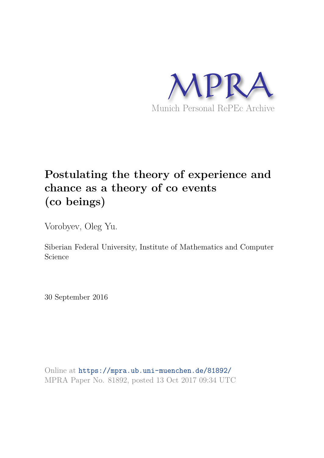

# **Postulating the theory of experience and chance as a theory of co events (co beings)**

Vorobyev, Oleg Yu.

Siberian Federal University, Institute of Mathematics and Computer Science

30 September 2016

Online at https://mpra.ub.uni-muenchen.de/81892/ MPRA Paper No. 81892, posted 13 Oct 2017 09:34 UTC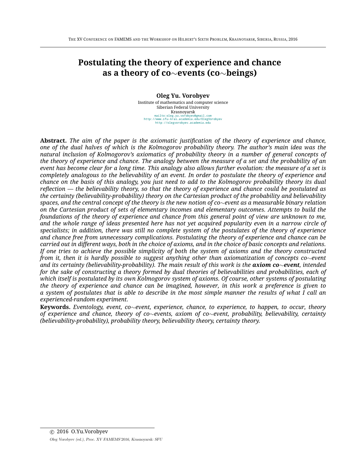## **Postulating the theory of experience and chance as a theory of co**∼**events (co**∼**beings)**

#### **Oleg Yu. Vorobyev**

Institute of mathematics and computer science Siberian Federal University Krasnoyarsk *mailto:oleg.yu.vorobyev@gmail.com http://www.sfu-kras.academia.edu/OlegVorobyev http://olegvorobyev.academia.edu*

**Abstract.** *The aim of the paper is the axiomatic justification of the theory of experience and chance, one of the dual halves of which is the Kolmogorov probability theory. The author's main idea was the natural inclusion of Kolmogorov's axiomatics of probability theory in a number of general concepts of the theory of experience and chance. The analogy between the measure of a set and the probability of an event has become clear for a long time. This analogy also allows further evolution: the measure of a set is completely analogous to the believability of an event. In order to postulate the theory of experience and chance on the basis of this analogy, you just need to add to the Kolmogorov probability theory its dual reflection — the believability theory, so that the theory of experience and chance could be postulated as the certainty (believability-probability) theory on the Cartesian product of the probability and believability spaces, and the central concept of the theory is the new notion of co*∼*event as a measurable binary relation on the Cartesian product of sets of elementary incomes and elementary outcomes. Attempts to build the foundations of the theory of experience and chance from this general point of view are unknown to me, and the whole range of ideas presented here has not yet acquired popularity even in a narrow circle of specialists; in addition, there was still no complete system of the postulates of the theory of experience and chance free from unnecessary complications. Postulating the theory of experience and chance can be carried out in different ways, both in the choice of axioms, and in the choice of basic concepts and relations. If one tries to achieve the possible simplicity of both the system of axioms and the theory constructed from it, then it is hardly possible to suggest anything other than axiomatization of concepts co*∼*event and its certainty (believability-probability). The main result of this work is the axiom co*∼*event, intended for the sake of constructing a theory formed by dual theories of believabilities and probabilities, each of which itself is postulated by its own Kolmogorov system of axioms. Of course, other systems of postulating the theory of experience and chance can be imagined, however, in this work a preference is given to a system of postulates that is able to describe in the most simple manner the results of what I call an experienced-random experiment.*

**Keywords.** *Eventology, event, co*∼*event, experience, chance, to experience, to happen, to occur, theory of experience and chance, theory of co*∼*events, axiom of co*∼*event, probability, believability, certainty (believability-probability), probability theory, believability theory, certainty theory.*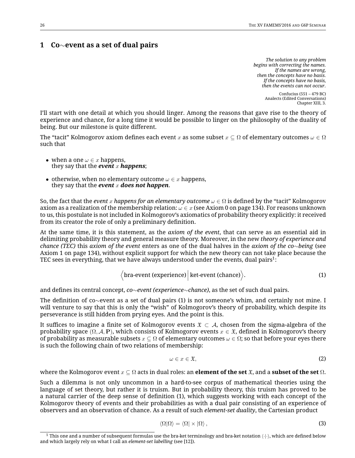## **1 Co**∼**event as a set of dual pairs**

*The solution to any problem begins with correcting the names. If the names are wrong, then the concepts have no basis. If the concepts have no basis, then the events can not occur.*

> Confucius (551 – 479 BC) Analects (Edited Conversations) Chapter XIII, 3.

I'll start with one detail at which you should linger. Among the reasons that gave rise to the theory of experience and chance, for a long time it would be possible to linger on the philosophy of the duality of being. But our milestone is quite different.

The "tacit" Kolmogorov axiom defines each event x as some subset  $x\subseteq\Omega$  of elementary outcomes  $\omega\in\Omega$ such that

- when a one  $\omega \in x$  happens, they say that the *event* x *happens*;
- otherwise, when no elementary outcome  $\omega \in x$  happens, they say that the *event* x *does* not *happen*.

So, the fact that the *event* x *happens for an elementary outcome* ω ∈ Ω is defined by the "tacit" Kolmogorov axiom as a realization of the membership relation:  $\omega \in x$  (see Axiom 0 on page 134). For reasons unknown to us, this postulate is not included in Kolmogorov's axiomatics of probability theory explicitly: it received from its creator the role of only a preliminary definition.

At the same time, it is this statement, as the *axiom of the event*, that can serve as an essential aid in delimiting probability theory and general measure theory. Moreover, in the new *theory of experience and chance (TEC)* this *axiom of the event* enters as one of the dual halves in the *axiom of the co*∼*being* (see Axiom 1 on page 134), without explicit support for which the new theory can not take place because the TEC sees in everything, that we have always understood under the events, dual pairs $^1\!$ :

$$
\langle \text{bra-event (experience)} \big| \text{ket-event (chance)} \rangle. \tag{1}
$$

and defines its central concept, *co*∼*event (experience*∼*chance)*, as the set of such dual pairs.

The definition of co∼event as a set of dual pairs (1) is not someone's whim, and certainly not mine. I will venture to say that this is only the "wish" of Kolmogorov's theory of probability, which despite its perseverance is still hidden from prying eyes. And the point is this.

It suffices to imagine a finite set of Kolmogorov events  $\mathfrak{X} \subset \mathcal{A}$ , chosen from the sigma-algebra of the probability space  $(\Omega, \mathcal{A}, P)$ , which consists of Kolmogorov events  $x \in \mathfrak{X}$ , defined in Kolmogorov's theory of probability as measurable subsets  $x \subseteq \Omega$  of elementary outcomes  $\omega \in \Omega$ ; so that before your eyes there is such the following chain of two relations of membership:

$$
\omega \in x \in \mathfrak{X},\tag{2}
$$

where the Kolmogorov event x ⊆ Ω acts in dual roles: an **element of the set** X, and a **subset of the set** Ω.

Such a dilemma is not only uncommon in a hard-to-see corpus of mathematical theories using the language of set theory, but rather it is truism. But in probability theory, this truism has proved to be a natural carrier of the deep sense of definition (1), which suggests working with each concept of the Kolmogorov theory of events and their probabilities as with a dual pair consisting of an experience of observers and an observation of chance. As a result of such *element-set duality*, the Cartesian product

$$
\langle \Omega | \Omega \rangle = \langle \Omega | \times | \Omega \rangle \,, \tag{3}
$$

 $^1$  This one and a number of subsequent formulas use the bra-ket terminology and bra-ket notation  $\langle\cdot|\cdot\rangle$ , which are defined below and which largely rely on what I call an *element-set labelling* (see [12]).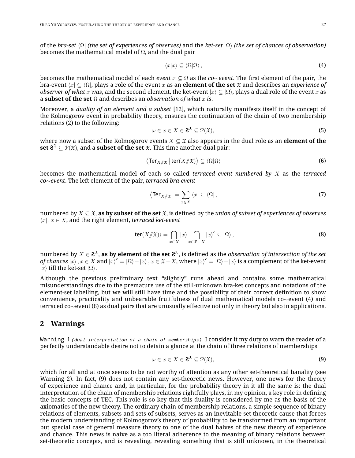of the *bra-set* ⟨Ω| *(the set of experiences of observes)* and the *ket-set* |Ω⟩ *(the set of chances of observation)* becomes the mathematical model of  $\Omega$ , and the dual pair

$$
\langle x|x\rangle \subseteq \langle \Omega|\Omega\rangle\,,\tag{4}
$$

becomes the mathematical model of each *event* x ⊆ Ω as the *co*∼*event*. The first element of the pair, the bra-event ⟨x| ⊆ ⟨Ω|, plays a role of the event x as an **element of the set** X and describes an *experience of observer of what* x *was*, and the second element, the ket-event  $|x\rangle \subseteq \langle \Omega \rangle$ , plays a dual role of the event x as a **subset of the set**  $\Omega$  and describes an *observation of what* x is.

Moreover, a *duality of an element and a subset* [12], which naturally manifests itself in the concept of the Kolmogorov event in probability theory, ensures the continuation of the chain of two membership relations (2) to the following:

$$
\omega \in x \in X \in \mathbf{2}^{\mathfrak{X}} \subseteq \mathcal{P}(\mathfrak{X}),\tag{5}
$$

where now a subset of the Kolmogorov events  $X \subseteq \mathfrak{X}$  also appears in the dual role as an **element of the**  $\mathbf{s}$  et  $\mathbf{\hat{z}}^{\mathfrak{X}}\subseteq \mathcal{P}(\mathfrak{X}),$  and a  $\mathbf{s}$  ubset of the set  $\mathfrak{X}.$  This time another dual pair:

$$
\langle \text{Ter}_{X/\!\!/ \mathfrak{X}} \, \big| \, \text{ter}(X/\!\!/ \mathfrak{X}) \rangle \subseteq \langle \Omega | \Omega \rangle \tag{6}
$$

becomes the mathematical model of each so called *terraced event numbered by* X as the *terraced co*∼*event*. The left element of the pair, *terraced bra-event*

$$
\langle \operatorname{Ter}_{X/\!\!/ \mathfrak{X}} \rangle = \sum_{x \in X} \langle x | \subseteq \langle \Omega | , \tag{7}
$$

numbered by X ⊆ X, **as by subset of the set** X, is defined by the *union of subset of experiences of observes*  $\langle x |, x \in X$ , and the right element, *terraced ket-event* 

$$
|\text{ter}(X/\!\!/\mathfrak{X})\rangle = \bigcap_{x \in X} |x\rangle \bigcap_{x \in \mathfrak{X} - X} |x\rangle^c \subseteq |\Omega\rangle ,\tag{8}
$$

numbered by  $X\in\mathbf{2}^{\mathfrak{X}},$  **as by element of the set**  $\mathbf{2}^{\mathfrak{X}},$  is defined as the *observation of intersection of the set of chances*  $|x\rangle$  *,*  $x\in X$  *and*  $|x\rangle^c=|\Omega\rangle-|x\rangle$  *,*  $x\in \mathfrak{X}-X$ *, where*  $|x\rangle^c=|\Omega\rangle-|x\rangle$  *is a complement of the ket-event*  $|x\rangle$  till the ket-set  $|\Omega\rangle$ .

Although the previous preliminary text "slightly" runs ahead and contains some mathematical misunderstandings due to the premature use of the still-unknown bra-ket concepts and notations of the element-set labelling, but we will still have time and the possibility of their correct definition to show convenience, practicality and unbearable fruitfulness of dual mathematical models co∼event (4) and terraced co∼event (6) as dual pairs that are unusually effective not only in theory but also in applications.

## **2 Warnings**

*Warning 1 (dual interpretation of <sup>a</sup> chain of memberships).* I consider it my duty to warn the reader of a perfectly understandable desire not to detain a glance at the chain of three relations of memberships

$$
\omega \in x \in X \in \mathbf{Z}^{\mathfrak{X}} \subseteq \mathcal{P}(\mathfrak{X}),\tag{9}
$$

which for all and at once seems to be not worthy of attention as any other set-theoretical banality (see Warning 2). In fact, (9) does not contain any set-theoretic news. However, one news for the theory of experience and chance and, in particular, for the probability theory in it all the same is: the dual interpretation of the chain of membership relations rightfully plays, in my opinion, a key role in defining the basic concepts of TEC. This role is so key that this duality is considered by me as the basis of the axiomatics of the new theory. The ordinary chain of membership relations, a simple sequence of binary relations of elements, subsets and sets of subsets, serves as an inevitable set-theoretic cause that forces the modern understanding of Kolmogorov's theory of probability to be transformed from an important but special case of general measure theory to one of the dual halves of the new theory of experience and chance. This news is naive as a too literal adherence to the meaning of binary relations between set-theoretic concepts, and is revealing, revealing something that is still unknown, in the theoretical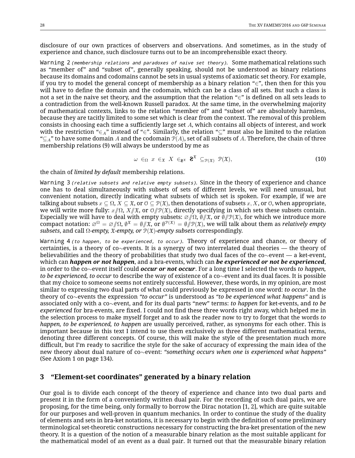disclosure of our own practices of observers and observations. And sometimes, as in the study of experience and chance, such disclosure turns out to be an incomprehensible exact theory.

*Warning 2 (membership relations and paradoxes of naive set theory).* Some mathematical relations such as "member of" and "subset of", generally speaking, should not be understood as binary relations because its domains and codomains cannot be sets in usual systems of axiomatic set theory. For example, if you try to model the general concept of membership as a binary relation "∈", then then for this you will have to define the domain and the codomain, which can be a class of all sets. But such a class is not a set in the naive set theory, and the assumption that the relation " $\in$ " is defined on all sets leads to a contradiction from the well-known Russell paradox. At the same time, in the overwhelming majority of mathematical contexts, links to the relation "member of" and "subset of" are absolutely harmless, because they are tacitly limited to some set which is clear from the context. The removal of this problem consists in choosing each time a sufficiently large set A, which contains all objects of interest, and work with the restriction "∈<sub>A</sub>" instead of "∈". Similarly, the relation "⊆" must also be limited to the relation " $\subseteq$ <sub>A</sub>" to have some domain A and the codomain  $\mathcal{P}(A)$ , set of all subsets of A. Therefore, the chain of three membership relations (9) will always be understood by me as

$$
\omega \in_{\Omega} x \in_{\mathfrak{X}} X \in_{\mathbf{Z}^{\mathfrak{X}}} \mathbf{Z}^{\mathfrak{X}} \subseteq_{\mathcal{P}(\mathfrak{X})} \mathcal{P}(\mathfrak{X}),
$$
\n(10)

the chain of *limited by default* membership relations.

*Warning 3 (relative subsets and relative empty subsets).* Since in the theory of experience and chance one has to deal simultaneously with subsets of sets of different levels, we will need unusual, but convenient notation, directly indicating what subsets of which set is spoken. For example, if we are talking about subsets  $x \subseteq \Omega$ ,  $X \subseteq \mathfrak{X}$ , or  $\mathfrak{O} \subseteq \mathcal{P}(\mathfrak{X})$ , then denotations of subsets  $x, X$ , or  $\mathfrak{O}$ , when appropriate, we will write more fully:  $x/\Omega$ ,  $X/\mathfrak{X}$ , or  $\mathfrak{O}/\mathfrak{P}(\mathfrak{X})$ , directly specifying in which sets these subsets contain. Especially we will have to deal with empty subsets:  $\mathcal{O}/\Omega$ ,  $\emptyset/\mathfrak{X}$ , or  $\emptyset/\mathfrak{P}(\mathfrak{X})$ , for which we introduce more  $\tilde{\text{compact}}$  notation:  $\varnothing^\Omega=\varnothing/\!\!/\Omega$ ,  $\emptyset^\mathfrak{X}=\emptyset/\!\!/ \mathfrak{X},$  or  $\emptyset^{\mathfrak{P}(\mathfrak{X})}=\emptyset/\!\!/ \mathfrak{P}(\mathfrak{X})$ , we will talk about them as *relatively empty subsets*, and call Ω*-empty,* X*-empty, or* P(X)*-empty subsets* correspondingly.

*Warning 4 (to happen, to be experienced, to occur).* Theory of experience and chance, or theory of certainties, is a theory of co∼events. It is a synergy of two interrelated dual theories — the theory of believabilities and the theory of probabilities that study two dual faces of the co∼event — a ket-event, which can *happen or not happen*, and a bra-events, which can *be experienced or not be experienced*, in order to the co∼event itself could *occur or not occur*. For a long time I selected the words *to happen, to be experienced, to occur* to describe the way of existence of a co∼event and its dual faces. It is possible that my choice to someone seems not entirely successful. However, these words, in my opinion, are most similar to expressing two dual parts of what could previously be expressed in one word: *to occur*. In the theory of co∼events the expression *"to occur"* is understood as *"to be experienced what happens"* and is associated only with a co∼event, and for its dual parts "new" terms: *to happen* for ket-events, and *to be experienced* for bra-events, are fixed. I could not find these three words right away, which helped me in the selection process to make myself forget and to ask the reader now to try to forget that the words *to happen, to be experienced, to happen* are usually perceived, rather, as synonyms for each other. This is important because in this text I intend to use them exclusively as three different mathematical terms, denoting three different concepts. Of course, this will make the style of the presentation much more difficult, but I'm ready to sacrifice the style for the sake of accuracy of expressing the main idea of the new theory about dual nature of co∼event: *"something occurs when one is experienced what happens"* (See Axiom 1 on page 134).

#### **3 "Element-set coordinates" generated by a binary relation**

Our goal is to divide each concept of the theory of experience and chance into two dual parts and present it in the form of a conveniently written dual pair. For the recording of such dual pairs, we are proposing, for the time being, only formally to borrow the Dirac notation [1, 2], which are quite suitable for our purposes and well-proven in quantum mechanics. In order to continue the study of the duality of elements and sets in bra-ket notations, it is necessary to begin with the definition of some preliminary terminological set-theoretic constructions necessary for constructing the bra-ket presentation of the new theory. It is a question of the notion of a measurable binary relation as the most suitable applicant for the mathematical model of an event as a dual pair. It turned out that the measurable binary relation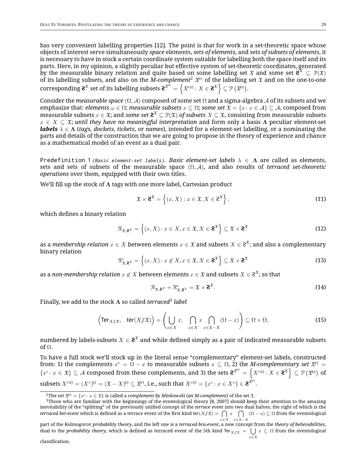has very convenient labelling properties [12]. The point is that for work in a set-theoretic space whose objects of interest serve simultaneously *space* elements, *sets of elements*, and *sets of subsets of elements*, it is necessary to have in stock a certain coordinate system suitable for labelling both the space itself and its parts. Here, in my opinion, a slightly peculiar but effective system of set-theoretic coordinates, generated by the measurable binary relation and quite based on some labelling set  $\mathfrak X$  and some set  $\mathbf{2}^{\mathfrak X}\subseteq \mathcal P(\mathfrak X)$ of its labelling subsets, and also on the *M-complement<sup>2</sup>*  $\mathfrak{X}^{(\text{c})}$  of the labelling set  $\mathfrak{X}$  and on the one-to-one  $\text{corresponding } \mathbf{2}^{\mathfrak{X}} \text{ set of its labelling subsets } \mathbf{2}^{\mathfrak{X}^{(\text{c})}} = \left\{ X^{c(\text{c})} \colon X \in \mathbf{2}^{\mathfrak{X}} \right\} \subseteq \mathcal{P}\left( \mathfrak{X}^{(\text{c})} \right).$ 

Consider the *measurable space* (Ω, A) composed of some set Ω and a sigma-algebra A of its subsets and we emphasize that: *elements*  $\omega \in \Omega$ ; *measurable subsets*  $x \subseteq \Omega$ ; *some set*  $\mathfrak{X} = \{x : x \in \mathcal{A}\} \subseteq \mathcal{A}$ , composed from  $\hat{X}$  measurable subsets  $x \in \mathfrak{X}$ ; and *some set*  $\bm{2^{\mathfrak{X}}} ⊆ \mathfrak{P}(\mathfrak{X})$  *of subsets*  $X ⊆ \mathfrak{X}$ *,* consisting from measurable subsets  $x \in X \subseteq \mathfrak{X}$ ; *until they have no meaningful interpretation* and form only a basis  $\Lambda$  peculiar element-set *labels* λ ∈ Λ (*tags, dockets, tickets*, or *names*), intended for a element-set labelling, or a nominating the parts and details of the construction that we are going to propose in the theory of experience and chance as a mathematical model of an event as a dual pair.

*Predefinition 1 (Basic element-set labels). Basic element-set labels* λ ∈ Λ are called as elements, sets and sets of subsets of the measurable space (Ω, A), and also results of *terraced set-theoretic operations* over them, equipped with their own titles.

We'll fill up the stock of Λ tags with one more label, Cartesian product

$$
\mathfrak{X} \times \mathbf{2}^{\mathfrak{X}} = \left\{ (x, X) : x \in \mathfrak{X}, X \in \mathbf{2}^{\mathfrak{X}} \right\},\tag{11}
$$

which defines a binary relation

$$
\mathcal{R}_{\mathfrak{X},\mathbf{2}^{\mathfrak{X}}} = \left\{ (x,X) \colon x \in X, x \in \mathfrak{X}, X \in \mathbf{2}^{\mathfrak{X}} \right\} \subseteq \mathfrak{X} \times \mathbf{2}^{\mathfrak{X}}
$$
(12)

as a *membership relation*  $x \in X$  *b*etween elements  $x \in \mathfrak{X}$  and subsets  $X \in \mathsf{2^{\mathfrak{X}}};$  and also a complementary binary relation

$$
\mathcal{R}^c_{\mathfrak{X},\mathbf{2}^{\mathfrak{X}}} = \left\{ (x,X) \colon x \notin X, x \in \mathfrak{X}, X \in \mathbf{2}^{\mathfrak{X}} \right\} \subseteq \mathfrak{X} \times \mathbf{2}^{\mathfrak{X}}
$$
(13)

as a *non-membership relation*  $x \not\in X$  *b*etween elements  $x \in \mathfrak{X}$  and subsets  $X \in \mathcal{E}^{\mathfrak{X}}$ ; so that

$$
\mathcal{R}_{\mathfrak{X},\mathbf{2}^{\mathfrak{X}}}+\mathcal{R}_{\mathfrak{X},\mathbf{2}^{\mathfrak{X}}}^{c}=\mathfrak{X}\times\mathbf{2}^{\mathfrak{X}}.
$$
 (14)

Finally, we add to the stock Λ so called *terraced<sup>3</sup> label*

$$
\left(\operatorname{Ter}_{X/\!\!/ \mathfrak{X}}, \operatorname{ter}(X/\!\!/ \mathfrak{X})\right) = \left(\bigcup_{x \in X} x, \bigcap_{x \in X} x \bigcap_{x \in \mathfrak{X} - X} (\Omega - x)\right) \subseteq \Omega \times \Omega,\tag{15}
$$

numbered by labels-subsets  $X \in \mathbf{2}^{\mathfrak{X}}$  and while defined simply as a pair of indicated measurable subsets of Ω.

To have a full stock we'll stock up in the literal sense "complementary" element-set labels, constructed from: 1) the complements  $x^c = \bar{\Omega}-x$  to measurable subsets  $x\subseteq\Omega,$  2) the *M-complementary set*  $\mathfrak{X}^{\!\mathbb{G}}=$  $\{x^c\colon x\in\mathfrak X\}\subseteq \mathcal A$  composed from these complements, and 3) the sets  $\mathbf{2}^{\mathfrak X^{(c)}}=\left\{X^{c(c)}\colon X\in\mathbf{2}^\mathfrak X\right\}\subseteq \mathcal P\left(\mathfrak X^{(c)}\right)$  of  $\text{subsets } X^{c(c)} = (X^c)^{(c)} = (\mathfrak{X} - X)^{(c)} \subseteq \mathfrak{X}^{(c)}, \text{ i.e., such that } X^{c(c)} = \{x^c \colon x \in X^c\} \in \mathbf{2}^{\mathfrak{X}^{(c)}}.$ 

part of the Kolmogorov *probability theory*, and the left one is a *terraced bra-event*, a new concept from the *theory of believabilities*, dual to the *probability theory,* which is defined as terraced event of the 5th kind Ter $_{X/\!\!/ \mathfrak X}=\bigcup x\subseteq\Omega$  from the eventological  $x \in X$ 

 $^2$ The set  $\mathfrak{X}^{(\epsilon)}=\{x^c\colon x\in\mathfrak{X}\}$  is called a *complement by Minkowski (an M-complement)* of the set  $\mathfrak{X}.$ 

<sup>3</sup>Those who are familiar with the beginnings of the eventological theory [8, 2007] should keep their attention to the amazing inevitability of the "splitting" of the previously unified concept of the *terrace event* into two dual halves, the right of which is the  $t$ erraced ket-event which is defined as a terrace event of the first kind ter $(X/\!\!|\mathfrak{X}) =\bigcap\;x\quad \bigcap\;$   $(\Omega-x)\subseteq \Omega$  from the eventological  $x \in X$   $x \in \mathfrak{X} - X$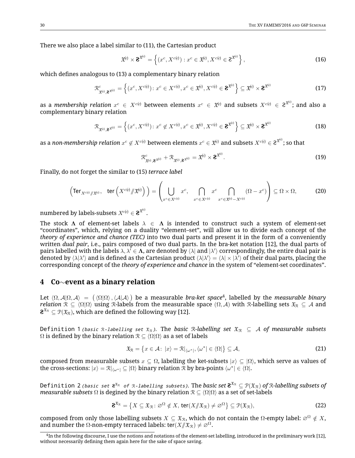There we also place a label similar to (11), the Cartesian product

$$
\mathfrak{X}^{(c)} \times \mathbf{2}^{\mathfrak{X}^{(c)}} = \left\{ (x^c, X^{c(c)}) : x^c \in \mathfrak{X}^{(c)}, X^{c(c)} \in \mathbf{2}^{\mathfrak{X}^{(c)}} \right\},\tag{16}
$$

which defines analogous to (13) a complementary binary relation

$$
\mathcal{R}^{c}_{\mathfrak{X}^{(c)},\mathbf{2}} \mathfrak{X}^{(c)}} = \left\{ (x^{c}, X^{c(c)}) : x^{c} \in X^{c(c)}, x^{c} \in \mathfrak{X}^{(c)}, X^{c(c)} \in \mathbf{2}^{\mathfrak{X}^{(c)}} \right\} \subseteq \mathfrak{X}^{(c)} \times \mathbf{2}^{\mathfrak{X}^{(c)}}
$$
(17)

as a *membership relation*  $x^c$  $\in$  *X<sup>c(c)</sup> b*etween elements  $x^c$   $\in$   $\mathfrak{X}^{(c)}$  and subsets  $X^{c(c)}$   $\in$   $\mathcal{C}^{\mathfrak{X}^{(c)}}$ ; and also a complementary binary relation

$$
\mathcal{R}_{\mathfrak{X}^{(c)},\mathbf{z}^{\mathfrak{X}^{(c)}}} = \left\{ (x^c, X^{c(c)}) : x^c \notin X^{c(c)}, x^c \in \mathfrak{X}^{(c)}, X^{c(c)} \in \mathbf{z}^{\mathfrak{X}^{(c)}} \right\} \subseteq \mathfrak{X}^{(c)} \times \mathbf{z}^{\mathfrak{X}^{(c)}}
$$
(18)

as a *non-membership relation*  $x^c \notin X^{c(c)}$  *b*etween elements  $x^c \in \mathfrak{X}^{(c)}$  and subsets  $X^{c(c)} \in \mathfrak{E}^{\mathfrak{X}^{(c)}}$ ; so that

$$
\mathcal{R}_{\mathfrak{X}^{(\mathsf{c})},\mathbf{2}}^{c} + \mathcal{R}_{\mathfrak{X}^{(\mathsf{c})},\mathbf{2}}\mathfrak{X}^{(\mathsf{c})}} = \mathfrak{X}^{(\mathsf{c})} \times \mathbf{2}^{\mathfrak{X}^{(\mathsf{c})}}.
$$
(19)

Finally, do not forget the similar to (15) *terrace label*

$$
\left(\operatorname{Ter}_{X^{c(c)}/\!\!/ \mathfrak{X}^{(c)}}, \operatorname{ter}\left(X^{c(c)}/\!\!/ \mathfrak{X}^{(c)}\right)\right) = \left(\bigcup_{x^c \in X^{c(c)}} x^c, \bigcap_{x^c \in X^{c(c)}} x^c \bigcap_{x^c \in \mathfrak{X}^{(c)} - X^{c(c)}} (\Omega - x^c)\right) \subseteq \Omega \times \Omega,\tag{20}
$$

numbered by labels-subsets  $X^{c (c)} \in \mathbf{2}^{\mathfrak{X}^{(c)}}.$ 

The stock  $\Lambda$  of element-set labels  $\lambda \in \Lambda$  is intended to construct such a system of element-set "coordinates", which, relying on a duality "element–set", will allow us to divide each concept of the *theory of experience and chance (TEC)* into two dual parts and present it in the form of a conveniently written *dual pair*, i.e., pairs composed of two dual parts. In the bra-ket notation [12], the dual parts of pairs labelled with the labels  $\lambda,\lambda' \in \Lambda$ , are denoted by  $\langle\lambda|$  and  $|\lambda'\rangle$  correspondingly, the entire dual pair is denoted by  $\langle\lambda|\lambda'\rangle$  and is defined as the Cartesian product  $\langle\lambda|\lambda'\rangle=\langle\lambda|\times|\lambda'\rangle$  of their dual parts, placing the corresponding concept of the *theory of experience and chance* in the system of "element-set coordinates".

#### **4 Co**∼**event as a binary relation**

Let  $\langle \Omega, A | \Omega, A \rangle = (\langle \Omega | \Omega \rangle, \langle A | A \rangle)$  be a measurable *bra-ket space*<sup>4</sup>, labelled by the *measurable binary relation*  $\mathcal{R} \subseteq \langle \Omega | \Omega \rangle$  using R-labels from the measurable space  $(\Omega, \mathcal{A})$  with R-labelling sets  $\mathfrak{X}_{\mathcal{R}} \subseteq \mathcal{A}$  and  $\textbf{\textrm{2}}^{\mathfrak{X}_{\mathcal{R}}} \subseteq \mathcal{P}(\mathfrak{X}_{\mathcal{R}})$ , which are defined the following way [12].

*Definition 1 (basic*  $\Re$ *-labelling set*  $\Re$ *x*<sub> $\Re$ </sub>). The *basic*  $\Re$ *-labelling set*  $\Re$ <sub>*x*</sub>  $\subseteq$  *A of measurable subsets*  $\Omega$  is defined by the binary relation  $\mathcal{R} \subseteq \langle \Omega | \Omega \rangle$  as a set of labels

$$
\mathfrak{X}_{\mathcal{R}} = \left\{ x \in \mathcal{A} : \ |x\rangle = \mathcal{R}|_{\langle \omega^*|}, \langle \omega^*| \in \langle \Omega| \right\} \subseteq \mathcal{A},\tag{21}
$$

composed from measurable subsets  $x \subseteq \Omega$ , labelling the ket-subsets  $|x\rangle \subseteq |\Omega\rangle$ , which serve as values of the cross-sections:  $|x\rangle = \mathcal{R}|_{\langle\omega^*|} \subseteq |\Omega\rangle$  binary relation  $\mathcal{\bar{R}}$  by bra-points  $\langle\omega^*|\in\langle\Omega|.$ 

<code>Definition 2</code> (basic set  $\bm{8}^{\bm{x}_\Re}$  of  $\Re$ -labelling subsets). The basic set  $\bm{8}^{\bm{\mathfrak{x}}_\Re} \subseteq \Re(\bm{\mathfrak{x}}_{\Re})$  of  $\Re$ -labelling subsets of *measurable subsets*  $\Omega$  is degined by the binary relation  $\mathcal{R} \subset \langle \Omega | \Omega \rangle$  as a set of set-labels

$$
\mathbf{2}^{\mathfrak{X}_{\mathcal{R}}} = \{ X \subseteq \mathfrak{X}_{\mathcal{R}} \colon \varnothing^{\Omega} \notin X, \, \text{ter}(X/\!\!/ \mathfrak{X}_{\mathcal{R}}) \neq \varnothing^{\Omega} \} \subseteq \mathcal{P}(\mathfrak{X}_{\mathcal{R}}),\tag{22}
$$

composed from only those labelling subsets  $X \subseteq \mathfrak{X}_R$ , which do not contain the  $\Omega$ -empty label:  $\varnothing^{\Omega} \notin X$ , and number the  $\Omega$ -non-empty terraced labels: ter( $X/\ell(x) \neq \emptyset^{\Omega}$ .

 $^4$ In the following discourse, I use the notions and notations of the element-set labelling, introduced in the preliminary work [12], without necessarily defining them again here for the sake of space saving.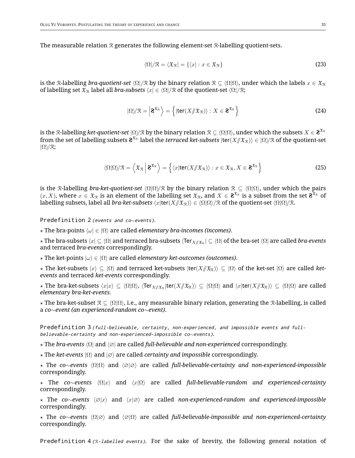The measurable relation  $\mathcal R$  generates the following element-set  $\mathcal R$ -labelling quotient-sets.

$$
\langle \Omega | / \mathcal{R} = \langle \mathfrak{X}_{\mathcal{R}} | = \{ \langle x | : x \in \mathfrak{X}_{\mathcal{R}} \} \tag{23}
$$

is the R-labelling *bra-quotient-set*  $\langle \Omega | \varphi |$  by the binary relation  $\Re \subseteq \langle \Omega | \Omega \rangle$ , under which the labels  $x \in \Re \Re \varphi$ of labelling set  $\mathfrak{X}_\mathcal{R}$  label all *bra-subsets*  $\langle x | \in \langle \Omega | \mathcal{R}$  of the quotient-set  $\langle \Omega | \mathcal{R}$ ;

$$
|\Omega\rangle/\mathcal{R} = \left| \mathbf{2}^{\mathfrak{X}_{\mathcal{R}}} \right\rangle = \left\{ |\text{ter}(X/\!\!/\mathfrak{X}_{\mathcal{R}}) \rangle : X \in \mathbf{2}^{\mathfrak{X}_{\mathcal{R}}} \right\}
$$
 (24)

is the R-labelling *ket-quotient-set*  $|\Omega\rangle\!/\mathcal{R}$  by the binary relation  $\mathcal{R}\subseteq\langle\Omega|\Omega\rangle$ , under which the subsets  $X\in{\bf S}^{\mathfrak{X}_\mathcal{R}}$ from the set of labelling subsets  $\bm{2}^{\bm{\mathfrak{X}}_{\mathcal{R}}}$  label the *terraced ket-subsets*  $|\textsf{ter}(X\mathcal{J}\bm{\mathfrak{X}}_{\mathcal{R}})\rangle\in\ket{\Omega} / \mathcal{R}$  of the quotient-set  $|\Omega\rangle\!/\mathfrak{R};$ 

$$
\langle \Omega | \Omega \rangle / \mathcal{R} = \left\langle \mathfrak{X}_{\mathcal{R}} \Big| \mathbf{2}^{\mathfrak{X}_{\mathcal{R}}} \right\rangle = \left\{ \langle x | \text{ter}(X / \mathfrak{X}_{\mathcal{R}}) \rangle : x \in \mathfrak{X}_{\mathcal{R}}, X \in \mathbf{2}^{\mathfrak{X}_{\mathcal{R}}} \right\}
$$
(25)

is the R-labelling *bra-ket-quotient-set*  $\langle \Omega | \Omega \rangle / \mathcal{R}$  by the binary relation  $\mathcal{R} \subseteq \langle \Omega | \Omega \rangle$ , under which the pairs  $(x, X)$ , where  $x \in \mathfrak{X}_{\mathcal{R}}$  is an element of the labelling set  $\mathfrak{X}_{\mathcal{R}}$ , and  $X \in \mathbf{2}^{\mathfrak{X}_{\mathcal{R}}}$  is a subset from the set  $\mathbf{2}^{\mathfrak{X}_{\mathcal{R}}}$  of labelling subsets, label all *bra-ket-subsets*  $\langle x|$ ter $(X/\ell x_R)$  $\rangle \in \langle \Omega | \Omega \rangle / \mathbb{R}$  of the quotient-set  $\langle \Omega | \Omega \rangle / \mathbb{R}$ .

*Predefinition 2 (events and co*∼*events).*

 $\star$  The bra-points  $\langle \omega | \in |\Omega \rangle$  are called *elementary bra-incomes (incomes)*.

 $\star$  The bra-subsets  $\langle x|\subseteq\langle\Omega|$  and terraced bra-subsets  $\langle$ Ter $_{X/\!\!/ \frak X_\R}|\subseteq\langle\Omega|$  of the bra-set  $\langle\Omega|$  are called *bra-events* and terraced *bra-events* correspondingly.

 $\star$  The ket-points  $|\omega\rangle \in |\Omega\rangle$  are called *elementary ket-outcomes (outcomes)*.

 $\star$  The ket-subsets  $|x\rangle \subseteq |\Omega\rangle$  and terraced ket-subsets  $|ter(X/\mathcal{X}_R)\rangle \subseteq |\Omega\rangle$  of the ket-set  $|\Omega\rangle$  are called *ketevents* and terraced *ket-events* correspondingly.

 $\star$  The bra-ket-subsets  $\langle x|x\rangle\subseteq\langle\Omega|\Omega\rangle$ ,  $\langle\text{Ter}_{X/\!\!/ \mathfrak{X}_{\mathcal{R}}}\!\ket{\text{ter}(X/\!\!/ \mathfrak{X}_{\mathcal{R}})}\subseteq\langle\Omega|\Omega\rangle$  and  $\langle x|\text{ter}(X/\!\!/ \mathfrak{X}_{\mathcal{R}})\rangle\subseteq\langle\Omega|\Omega\rangle$  are called *elementary bra-ket-events*.

 $\star$  The bra-ket-subset  $\mathcal{R} \subseteq \langle \Omega | \Omega \rangle$ , i.e., any measurable binary relation, generating the R-labelling, is called a *co*∼*event (an experienced-random co*∼*event)*.

*Predefinition 3 (full-believable, certainty, non-experienced, and impossible events and fullbelievable-certainty and non-experienced-impossible co*∼*events).*

⋆ The *bra-events* ⟨Ω| and ⟨∅| are called *full-believable and non-experienced* correspondingly.

⋆ The *ket-events* |Ω⟩ and |∅⟩ are called *certainty and impossible* correspondingly.

⋆ The *co*∼*events* ⟨Ω|Ω⟩ and ⟨∅|∅⟩ are called *full-believable-certainty and non-experienced-impossible* correspondingly.

⋆ The *co*∼*events* ⟨Ω|x⟩ and ⟨x|Ω⟩ are called *full-believable-random and experienced-certainty* correspondingly.

⋆ The *co*∼*events* ⟨∅|x⟩ and ⟨x|∅⟩ are called *non-experienced-random and experienced-impossible* correspondingly.

⋆ The *co*∼*events* ⟨Ω|∅⟩ and ⟨∅|Ω⟩ are called *full-believable-impossible and non-experienced-certainty* correspondingly.

*Predefinition 4 (*R*-labelled events).* For the sake of brevity, the following general notation of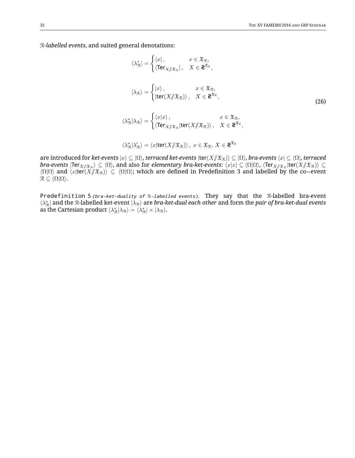R*-labelled events*, and suited general denotations:

$$
\langle \lambda_{\mathcal{R}}^* \rangle = \begin{cases} \langle x \vert, & x \in \mathfrak{X}_{\mathcal{R}}, \\ \langle \operatorname{Ter}_{X/\!\!/ \mathfrak{X}_{\mathcal{R}}} \vert, & X \in \mathbf{2}^{\mathfrak{X}_{\mathcal{R}}}, \end{cases}
$$

$$
|\lambda_{\mathcal{R}}\rangle = \begin{cases} |x\rangle, & x \in \mathfrak{X}_{\mathcal{R}}, \\ |\operatorname{ter}(X/\!\!/ \mathfrak{X}_{\mathcal{R}})\rangle, & X \in \mathbf{2}^{\mathfrak{X}_{\mathcal{R}}}, \end{cases}
$$

$$
\langle \lambda_{\mathcal{R}}^* | \lambda_{\mathcal{R}} \rangle = \begin{cases} \langle x | x \rangle, & x \in \mathfrak{X}_{\mathcal{R}}, \\ \langle \operatorname{Ter}_{X/\!\!/ \mathfrak{X}_{\mathcal{R}}} |\operatorname{ter}(X/\!\!/ \mathfrak{X}_{\mathcal{R}}) \rangle, & X \in \mathbf{2}^{\mathfrak{X}_{\mathcal{R}}}, \end{cases}
$$

$$
\langle \lambda_{\mathcal{R}}^* | \lambda_{\mathcal{R}}' \rangle = \langle x | \operatorname{ter}(X/\!\!/ \mathfrak{X}_{\mathcal{R}}) \rangle, \ x \in \mathfrak{X}_{\mathcal{R}}, \ X \in \mathbf{2}^{\mathfrak{X}_{\mathcal{R}}}
$$

are introduced for *ket-events* |x⟩ ⊆ |Ω⟩, *terraced ket-events* |ter(X//XR)⟩ ⊆ |Ω⟩, *bra-events* ⟨x| ⊆ ⟨Ω|, *terraced*  $bra\text{-}events$   $|\textsf{Ter}_{X/\!\!/ \mathfrak{X}_{\mathfrak{R}}}\rangle\subseteq |\Omega\rangle$ , and also for *elementary bra-ket-events*:  $\langle x|x\rangle\subseteq\langle\Omega|\Omega\rangle$ ,  $\langle\textsf{Ter}_{X/\!\!/ \mathfrak{X}_{\mathfrak{R}}}\rangle$ lter $(X/\!\!/ \mathfrak{X}_{\mathfrak{R}})\rangle\subseteq$  $\langle \Omega | \Omega \rangle$  and  $\langle x | \text{ter}(X/\!\!/X_{\mathcal{R}}) \rangle \subseteq \langle \Omega | \Omega \rangle$ ; which are defined in Predefinition 3 and labelled by the co∼event  $\mathcal{R} \subseteq \langle \Omega | \Omega \rangle.$ 

*Predefinition 5 (bra-ket-duality of* <sup>R</sup>*-labelled events).* They say that the R-labelled bra-event  $\langle \lambda_\mathcal{R}^*|$  and the R-labelled ket-event  $|\lambda_\mathcal{R}\rangle$  are *bra-ket-dual each other* and form the *pair of bra-ket-dual events* as the Cartesian product  $\langle \lambda_{\mathcal{R}}^* | \lambda_{\mathcal{R}} \rangle = \langle \lambda_{\mathcal{R}}^* | \times | \lambda_{\mathcal{R}} \rangle$ .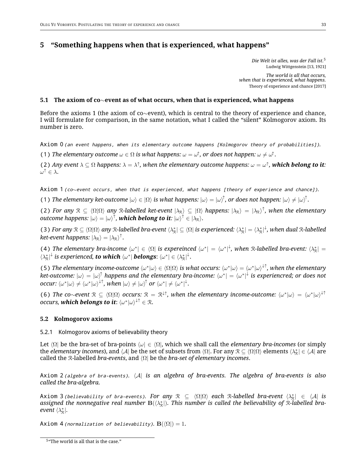## **5 "Something happens when that is experienced, what happens"**

*Die Welt ist alles, was der Fall ist.*<sup>5</sup> Ludwig Wittgenstein [13, 1921]

*The world is all that occurs, when that is experienced, what happens.* Theory of experience and chance [2017]

#### **5.1 The axiom of co**∼**event as of what occurs, when that is experienced, what happens**

Before the axioms 1 (the axiom of co∼event), which is central to the theory of experience and chance, I will formulate for comparison, in the same notation, what I called the "silent" Kolmogorov axiom. Its number is zero.

Axiom 0 (an event happens, when its elementary outcome happens [Kolmogorov theory of probabilities]).

(1) *The elementary outcome*  $\omega \in \Omega$  *is what happens:*  $\omega = \omega^{\uparrow}$ *, or does not happen:*  $\omega \neq \omega^{\uparrow}$ *.* 

(2) Any event  $\lambda \subseteq \Omega$  happens:  $\lambda = \lambda^{\uparrow}$ , when the elementary outcome happens:  $\omega = \omega^{\uparrow}$ , which belong to it:  $\omega^{\uparrow} \in \lambda$ .

Axiom 1 (co~event occurs, when that is experienced, what happens [theory of experience and chance]).

(1) *The elementary ket-outcome*  $|\omega\rangle \in |\Omega\rangle$  *is what happens:*  $|\omega\rangle = |\omega\rangle^{\uparrow}$ , *or does not happen:*  $|\omega\rangle \neq |\omega\rangle^{\uparrow}$ .

(2) *For any*  $\mathcal{R} \subseteq \langle \Omega | \Omega \rangle$  *any* R-labelled ket-event  $|\lambda_{\mathcal{R}} \rangle \subseteq |\Omega \rangle$  happens:  $|\lambda_{\mathcal{R}} \rangle = |\lambda_{\mathcal{R}} \rangle^{\uparrow}$ , when the elementary  $\bm{o}$ utcome happens:  $|\omega\rangle=|\omega\rangle^{\uparrow}$ , **which belong to it**:  $|\omega\rangle^{\uparrow}\in|\lambda_\mathbb{R}\rangle.$ 

(3) For any  $\mathcal{R} \subseteq \langle \Omega | \Omega \rangle$  any  $\mathcal{R}$ -labelled bra-event  $\langle \lambda^*_{\mathcal{R}} | \subseteq \langle \Omega |$  is experienced:  $\langle \lambda^*_{\mathcal{R}} | = \langle \lambda^*_{\mathcal{R}} |^{\downarrow}$ , when dual  $\mathcal{R}$ -labelled  $ket\text{-event happens: } |\lambda_\mathcal{R}\rangle = |\lambda_\mathcal{R}\rangle^\uparrow.$ 

(4) The elementary bra-income  $\langle \omega^* | \in \langle \Omega |$  is expereinced  $\langle \omega^* | = \langle \omega^* |^2 \rangle$ , when R-labelled bra-event:  $\langle \lambda^*_{\mathcal{R}} | =$  $\langle \lambda_\mathcal{R}^* |^\downarrow$  is experienced, **to which**  $\langle \omega^* |$  **belongs:**  $\langle \omega^* | \in \langle \lambda_\mathcal{R}^* |^\downarrow$ .

(5) The elementary income-outcome  $\langle \omega^* | \omega \rangle \in \langle \Omega | \Omega \rangle$  is what occurs:  $\langle \omega^* | \omega \rangle = \langle \omega^* | \omega \rangle^{\downarrow \uparrow}$ , when the elementary  $k$ et-outcome:  $\ket{\omega}=\ket{\omega}^{\uparrow}$  happens and the elementary bra-income:  $\bra{\omega^*}=\bra{\omega^*}^{\downarrow}$  is experiencred; or does not  $\textit{occur:} \braket{\omega^*|\omega}\neq \braket{\omega^*|\omega}^{\downarrow\uparrow}, \textit{when} \hspace{0.1cm} |\omega\rangle\neq |\omega\rangle^{\uparrow} \textit{ or } \braket{\omega^*|\neq \braket{\omega^*|^{\downarrow}}.$ 

(6) *The co∼event*  $\mathcal{R} \subseteq \langle \Omega | \Omega \rangle$  *occurs:*  $\mathcal{R} = \mathcal{R}^{\downarrow\uparrow}$ , when the elementary income-outcome:  $\langle \omega^* | \omega \rangle = \langle \omega^* | \omega \rangle^{\downarrow\uparrow}$  $occurs,$  **which belongs to it:**  $\langle \omega^* | \omega \rangle^{\downarrow \uparrow} \in \mathcal{R}.$ 

#### **5.2 Kolmogorov axioms**

#### 5.2.1 Kolmogorov axioms of believability theory

Let  $\Omega$  be the bra-set of bra-points  $\Omega \in \Omega$ , which we shall call the *elementary bra-incomes* (or simply the *elementary incomes*), and  $\bra{\cal A}$  be the set of subsets from  $\bra{\Omega}$ . For any  $\Re\subseteq\bra{\Omega}\Omega$  elements  $\bra{\lambda^*_\Re}\in\bra{\cal A}$  are called the R-labelled *bra-events*, and ⟨Ω| be the *bra-set of elementary incomes*.

*Axiom 2 (algebra of bra-events).* ⟨A| *is an algebra of bra-events. The algebra of bra-events is also called the bra-algebra.*

 $\Delta x$ iom  $\Im$  *(believability of bra-events). For any*  $\Re \subseteq \langle \Omega | \Omega \rangle$  each  $\Re$ -labelled bra-event  $\langle \lambda^*_{\Re} | \in \langle A |$  is assigned the nonnegative real number  $\mathbf{B}(\langle \lambda_\mathcal{R}^*|)$ . This number is called the believability of R-labelled bra*event*  $\langle \lambda_{\mathcal{R}}^*|$ *.* 

Axiom 4 *(normalization of believability)*.  $B(\langle \Omega |) = 1$ .

<sup>5</sup> "The world is all that is the case."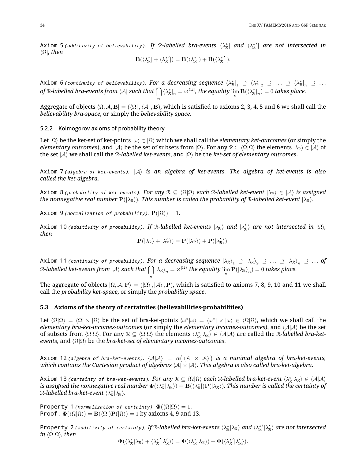$Axi$  om 5 (additivity of believability). If  $R$ -labelled bra-events  $\langle \lambda_R^* |$  and  $\langle \lambda_R^{*'} |$  are not intersected in ⟨Ω|*, then*

$$
\mathbf{B}(\langle \lambda_{\mathcal{R}}^* | + \langle \lambda_{\mathcal{R}}^{*'} |) = \mathbf{B}(\langle \lambda_{\mathcal{R}}^* |) + \mathbf{B}(\langle \lambda_{\mathcal{R}}^{*'} |).
$$

 $\textsf{Axiom 6}$  *(continuity of believability). For a decreasing sequence*  $\bra{\lambda^*_\mathcal{R}}_1 \supseteq \bra{\lambda^*_\mathcal{R}}_2 \supseteq \dots \supseteq \bra{\lambda^*_\mathcal{R}}_n \supseteq \dots$ *of* R*-labelled bra-events from* ⟨A| *such that* ∩  $\langle \lambda_\mathcal{R}^*|_n = \varnothing^{\langle \Omega|}$ , the equality  $\lim_n \mathbf{B}(\langle \lambda_\mathcal{R}^*|_n) = 0$  takes place.

Aggregate of objects  $\langle \Omega, \mathcal{A}, \mathbf{B} | = (\langle \Omega |, \langle \mathcal{A} |, \mathbf{B} \rangle)$ , which is satisfied to axioms 2, 3, 4, 5 and 6 we shall call the *believability bra-space*, or simply the *believability space*.

n

## 5.2.2 Kolmogorov axioms of probability theory

Let |Ω⟩ be the ket-set of ket-points |ω⟩ ∈ |Ω⟩ which we shall call the *elementary ket-outcomes* (or simply the *elementary outcomes*), and  $|A\rangle$  be the set of subsets from  $|\Omega\rangle$ . For any  $\mathcal{R}\subseteq\langle\Omega|\Omega\rangle$  the elements  $|\lambda_\mathcal{R}\rangle\in|A\rangle$  of the set |A⟩ we shall call the R*-labelled ket-events*, and |Ω⟩ be the *ket-set of elementary outcomes*.

*Axiom 7 (algebra of ket-events).* |A⟩ *is an algebra of ket-events. The algebra of ket-events is also called the ket-algebra.*

*Axiom* 8 *(probability of ket-events). For any*  $\mathcal{R} \subseteq \langle \Omega | \Omega \rangle$  each R-labelled ket-event  $|\lambda_{\mathcal{R}}\rangle \in |\mathcal{A}\rangle$  is assigned *the nonnegative real number*  $P(|\lambda_R\rangle)$ *. This number is called the probability of* R-labelled ket-event  $|\lambda_R\rangle$ *.* 

 $Axiom 9$  *(normalization of probability).*  $P(|\Omega\rangle) = 1$ .

 $\lambda$ xiom 10 $\iota$ additivity of probability). If  $\mathcal R$ -labelled ket-events  $|\lambda_\mathcal R\rangle$  and  $|\lambda'_\mathcal R\rangle$  are not intersected in  $|\Omega\rangle$ , *then*

$$
\mathbf{P}(|\lambda_{\mathcal{R}}\rangle + |\lambda_{\mathcal{R}}'\rangle) = \mathbf{P}(|\lambda_{\mathcal{R}}\rangle) + \mathbf{P}(|\lambda_{\mathcal{R}}'\rangle).
$$

 $\sf{Axiom}$  11  $\sf{continuity}$  of  $\sf{probability}$ ). For  $\sf{a}$  decreasing sequence  $\ket{\lambda_\mathcal{R}}_1\supseteq\ket{\lambda_\mathcal{R}}_2\supseteq\ldots\supseteq\ket{\lambda_\mathcal{R}}_n\supseteq\ldots$  of  $\cal{R}\text{-}$ labelled ket-events from  $\ket{\cal{A}}$  such that  $\bigcap \ket{\lambda_{\rm R}}_n = \varnothing^{|\Omega\rangle}$  the equality  $\lim_n {\bf P}(\ket{\lambda_{\rm R}}_n) = 0$  takes place.

The aggregate of oblects  $|\Omega, A, P\rangle = | \langle \Omega \rangle, |A \rangle, P\rangle$ , which is satisfied to axioms 7, 8, 9, 10 and 11 we shall call the *probability ket-space*, or simply the *probability space*.

#### **5.3 Axioms of the theory of certainties (believabilities-probabilities)**

n

Let  $\langle \Omega | \Omega \rangle = \langle \Omega | \times | \Omega \rangle$  be the set of bra-ket-points  $\langle \omega^* | \omega \rangle = \langle \omega^* | \times | \omega \rangle \in \langle \Omega | \Omega \rangle$ , which we shall call the *elementary bra-ket-incomes-outcomes* (or simply the *elementary incomes-outcomes*), and ⟨A|A⟩ be the set of subsets from  $\langle \Omega | \Omega \rangle$ . For any  $\mathcal{R} \subseteq \langle \Omega | \Omega \rangle$  the elements  $\langle \lambda^*_{\mathcal{R}} | \lambda_{\mathcal{R}} \rangle \in \langle \mathcal{A} | \mathcal{A} \rangle$  are called the R-labelled bra-ket*events*, and ⟨Ω|Ω⟩ be the *bra-ket-set of elementary incomes-outcomes*.

<code>Axiom 12</code> (algebra of bra-ket-events).  $\langle A|A\rangle~=~\alpha(\,\langle A| \times |A\rangle\,)$  is a minimal algebra of bra-ket-events, *which contains the Cartesian product of algebras* ⟨A| × |A⟩*. This algebra is also called bra-ket-algebra.*

 $A$ xiom 13 (certainty of bra-ket-events). For any  $\mathcal{R}\subseteq\langle\Omega|\Omega\rangle$  each  $\mathcal{R}$ -labelled bra-ket-event  $\langle\lambda^*_\mathcal{R}|\lambda_\mathcal{R}\rangle\in\langle\mathcal{A}|\mathcal{A}\rangle$ is assigned the nonnegative real number  $\Phi(\langle\lambda^*_\R|\lambda_\R\rangle)=B(\langle\lambda^*_\R|)P(|\lambda_\R\rangle).$  This number is called the certainty of  $\mathcal{R}\text{-}$ *labelled bra-ket-event*  $\langle \lambda_\mathcal{R}^* | \lambda_\mathcal{R} \rangle$ .

*Property 1 (normalization of certainty).*  $\Phi(\langle \Omega | \Omega \rangle) = 1$ . *Proof.*  $\Phi(\langle \Omega | \Omega \rangle) = B(\langle \Omega | P | \Omega \rangle) = 1$  by axioms 4, 9 and 13.

<code>Property 2</code> (additivity of certainty). If R-labelled bra-ket-events  $\langle\lambda^*_\Re|\lambda_\Re\rangle$  and  $\langle\lambda^{*}_\Re|\lambda'_\Re\rangle$  are not intersected *in* ⟨Ω|Ω⟩*, then*

 $\mathbf{\Phi}(\langle \lambda_\mathtt{R}^* | \lambda_\mathtt{R} \rangle + \langle \lambda_\mathtt{R}^{*'} | \lambda_\mathtt{R}' \rangle) = \mathbf{\Phi}(\langle \lambda_\mathtt{R}^* | \lambda_\mathtt{R} \rangle) + \mathbf{\Phi}(\langle \lambda_\mathtt{R}^{*'} | \lambda_\mathtt{R}' \rangle).$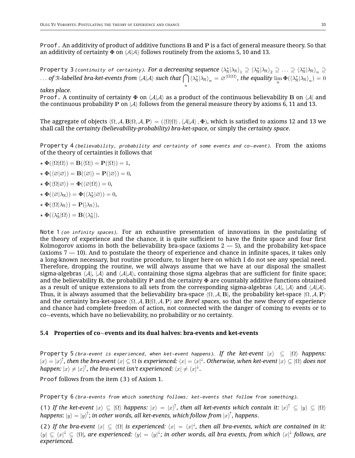*Proof.* An additivity of product of additive functions B and P is a fact of general measure theory. So that an additivity of certainty  $\Phi$  on  $\langle A|A\rangle$  follows routinely from the axioms 5, 10 and 13.

<code>Property 3</code> (continuity of certainty). For a decreasing sequence  $\braket{\lambda^*_\R|\lambda_\R}_1\supseteq\braket{\lambda^*_\R|\lambda_\R}_2\supseteq\ldots\supseteq\braket{\lambda^*_\R|\lambda_\R}_n\supseteq$  $\ldots$  of R-labelled bra-ket-events from  $\langle A|A\rangle$  such that  $\bigcap \langle \lambda_\mathcal{R}^*| \lambda_\mathcal{R} \rangle_n=\varnothing^{\langle \Omega|\Omega\rangle}$ , the equality  $\lim_n \Phi(\langle \lambda_\mathcal{R}^*| \lambda_\mathcal{R} \rangle_n)=0$ 

n

#### *takes place.*

*Proof.* A continuity of certainty  $\Phi$  on  $\langle A|A \rangle$  as a product of the continuous believability B on  $\langle A|$  and the continuous probability P on  $|A\rangle$  follows from the general measure theory by axioms 6, 11 and 13.

The aggregate of objects  $\langle \Omega, A, B | \Omega, A, P \rangle = (\langle \Omega | \Omega \rangle, \langle A | A \rangle, \Phi)$ , which is satisfied to axioms 12 and 13 we shall call the *certainty (believability-probability) bra-ket-space*, or simply the *certainty space*.

Property 4 (believability, probability and certainty of some events and co $\sim$ event). From the axioms of the theory of certainties it follows that

$$
\star \mathbf{\Phi}(\langle \Omega | \Omega \rangle) = \mathbf{B}(\langle \Omega |) = \mathbf{P}(|\Omega \rangle) = 1,
$$

- $\star \Phi(\langle \varnothing | \varnothing \rangle) = \mathbf{B}(\langle \varnothing |) = \mathbf{P}(|\varnothing \rangle) = 0,$
- $\star \Phi(\langle \Omega | \varnothing \rangle) = \Phi(\langle \varnothing | \Omega \rangle) = 0,$
- $\star \mathbf{\Phi}(\langle \varnothing | \lambda_{\mathcal{R}} \rangle) = \mathbf{\Phi}(\langle \lambda_{\mathcal{R}}^* | \varnothing \rangle) = 0,$

$$
\star\ \boldsymbol{\Phi}(\langle\Omega|\lambda_{\mathcal{R}}\rangle)=\mathbf{P}(|\lambda_{\mathcal{R}}\rangle),
$$

 $\star \mathbf{\Phi}(\langle \lambda_{\mathcal{R}}^* | \Omega \rangle) = \mathbf{B}(\langle \lambda_{\mathcal{R}}^* |).$ 

*Note 1 (on infinity spaces).* For an exhaustive presentation of innovations in the postulating of the theory of experience and the chance, it is quite sufficient to have the finite space and four first Kolmogorov axioms in both the believability bra-space (axioms  $2 - 5$ ), and the probability ket-space (axioms  $7 - 10$ ). And to postulate the theory of experience and chance in infinite spaces, it takes only a long-known necessary, but routine procedure, to linger here on which I do not see any special need. Therefore, dropping the routine, we will always assume that we have at our disposal the smallest sigma-algebras  $\langle A|, |A\rangle$  and  $\langle A|A\rangle$ , containing those sigma algebras that are sufficient for finite space; and the believability B, the probability P and the certainty  $\Phi$  are countably additive functions obtained as a result of unique extensions to all sets from the corresponding sigma-algebras  $\langle A|, |A\rangle$  and  $\langle A|A\rangle$ . Thus, it is always assumed that the believability bra-space  $\langle \Omega, A, B \rangle$ , the probability ket-space  $\langle \Omega, A, P \rangle$ and the certainty bra-ket-space  $\langle \Omega, \mathcal{A}, \mathbf{B} | \Omega, \mathcal{A}, \mathbf{P} \rangle$  are *Borel spaces*, so that the new theory of experience and chance had complete freedom of action, not connected with the danger of coming to events or to co∼events, which have no believability, no probability or no certainty.

#### **5.4 Properties of co**∼**events and its dual halves: bra-events and ket-events**

*Property 5 (bra-event is experienced, when ket-event happens). If the ket-event*  $|x\rangle \subseteq |\Omega\rangle$  *happens:*  $|x\rangle=|x\rangle^{\uparrow}$ , then the bra-event  $\langle x|\subseteq\Omega$  is experienced:  $\langle x|=\langle x|^{\downarrow}$ . Otherwise, when ket-event  $|x\rangle\subseteq|\Omega\rangle$  does not happen:  $|x\rangle\neq |x\rangle^{\uparrow}$ , the bra-event isn't experienced:  $\langle x|\neq\langle x|^{1/2}\rangle$ 

*Proof* follows from the item *(3)* of Axiom 1.

Property 6 (bra-events from which something follows; ket-events that follow from something).

(1) If the ket-event  $|x\rangle \subseteq |\Omega\rangle$  happens:  $|x\rangle = |x\rangle^{\uparrow}$ , then all ket-events which contain it:  $|x\rangle^{\uparrow} \subseteq |y\rangle \subseteq |\Omega\rangle$ *happens*: |y⟩ = |y⟩ ↑ ; *in other words, all ket-events, which follow from* |x⟩ ↑ *, happens*.

(2) If the bra-event  $\langle x | \subseteq \langle \Omega |$  is experienced:  $\langle x | = \langle x |^2 \rangle$ , then all bra-events, which are contained in it: ⟨y| ⊆ ⟨x| <sup>↓</sup> ⊆ ⟨Ω|*, are experienced:* ⟨y| = ⟨y| ↓ *; in other words, all bra events, from which* ⟨x| ↓ *follows, are experienced.*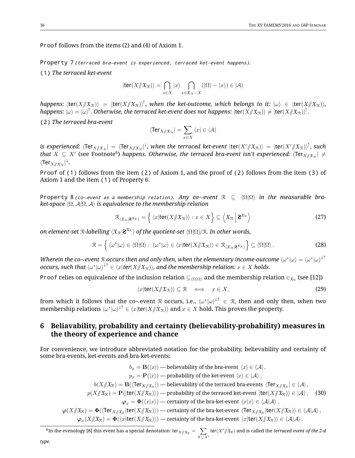*Proof* follows from the items (2) and (4) of Axiom 1.

*Property 7 (terraced bra-event is experienced, terraced ket-event happens).*

*(1) The terraced ket-event*

$$
|\text{ter}(X/\!\!/\mathfrak{X}_\mathfrak{R})\rangle = \bigcap_{x \in X} |x\rangle \bigcap_{x \in \mathfrak{X}_\mathfrak{R} - X} (|\Omega\rangle - |x\rangle) \in |\mathcal{A}\rangle
$$

 $happens:$   $|{\sf ter}(X/\!\!/\mathfrak{X}_\mathfrak{R})\rangle~=$   $|{\sf ter}(X/\!\!/\mathfrak{X}_\mathfrak{R})\rangle^\uparrow,$  when the ket-outcome, which belongs to it:  $|\omega\rangle~\in~|{\sf ter}(X/\!\!/\mathfrak{X}_\mathfrak{R})\rangle,$ happens:  $|\omega\rangle=|\omega\rangle^\uparrow$  . Otherwise, the terraced ket-event does not happens:  $|\textsf{ter}(X/\!\!|\mathfrak{X}_\mathfrak{X})\rangle\neq|\textsf{ter}(X/\!\!|\mathfrak{X}_\mathfrak{X})\rangle^\uparrow$  .

*(2) The terraced bra-event*

$$
\langle \text{Ter}_{X/\!\!/ \mathfrak{X}_{\mathcal{R}}}| = \sum_{x \in X} \, \langle x | \in \langle \mathcal{A}|
$$

 $i$ s experienced:  $\langle$ Ter $_{X/\!\!/ \frak X_\mathfrak{R}}|=\langle$ Ter $_{X/\!\!/ \frak X_\mathfrak{R}}|^\downarrow$ , when the terraced ket-event  $|\textsf{ter}(X'/\!\!/ \frak X_\mathfrak{R})\rangle\,=\,|\textsf{ter}(X'/\!\!/ \frak X_\mathfrak{R})\rangle^\uparrow$ , such that  $X~\subseteq~X'$  (see Footnote<sup>6</sup>) happens. Otherwise, the terraced bra-event isn't experienced:  $\langle$ Ter $_{X/\!\!/ \mathfrak{X}_{\mathfrak{R}}} \vert~\neq$  $\langle \textnormal{Ter}_{X{/\!\!/}\mathfrak{X}_{\mathfrak{R}}} {\rvert}^{\downarrow}.$ 

*Proof* of *(1)* follows from the item *(2)* of Axiom 1, and the proof of *(2)* follows from the item *(3)* of Axiom 1 and the item *(1)* of Property 6.

*Property 8 (co*∼*event as <sup>a</sup> membership relation). Any co*∼*event* R ⊆ ⟨Ω|Ω⟩ *in the measurable braket-space* ⟨Ω, A|Ω, A⟩ *is equivalence to the membership relation*

$$
\mathcal{R}_{\langle \mathfrak{X}_{\mathcal{R}} | \mathbf{2}^{\mathfrak{X}_{\mathcal{R}}}\rangle} = \left\{ \langle x | \mathbf{ter}(X/\!\!/\mathfrak{X}_{\mathcal{R}}) \rangle : x \in X \right\} \subseteq \left\langle \mathfrak{X}_{\mathcal{R}} \middle| \mathbf{2}^{\mathfrak{X}_{\mathcal{R}}} \right\rangle \tag{27}
$$

*on element-set R-labelling*  $\langle \mathfrak{X}_{\mathcal{R}}|{\bf 2}^{\mathfrak{X}_{\mathcal{R}}}\rangle$  *of the quotient-set*  $\langle \Omega |\Omega \rangle\!/\mathfrak{R}$ *. In other words,* 

$$
\mathcal{R} = \left\{ \langle \omega^* | \omega \rangle \in \langle \Omega | \Omega \rangle : \langle \omega^* | \omega \rangle \in \langle x | \text{ter}(X / \mathfrak{X}_{\mathcal{R}}) \rangle \in \mathcal{R}_{\langle \mathfrak{X}_{\mathcal{R}} | \mathfrak{F}^{\mathfrak{X}_{\mathcal{R}}} \rangle} \right\} \subseteq \langle \Omega | \Omega \rangle \,.
$$

*Wherein the co* $\sim$ *event*  $\cal R$  *occurs then and only then, when the elementary income-outcome*  $\langle\omega^*|\omega\rangle=\langle\omega^*|\omega\rangle^{\downarrow\uparrow}$ *occurs, such that*  $\langle \omega^* | \omega \rangle^{\downarrow \uparrow} \in \langle x | \text{ter}(X / \mathfrak{X}_\mathfrak{R}) \rangle$ *, and the membership relation:*  $x \in X$  *holds.* 

*Proof relies on equivalence of the inclusion relation*  $\subseteq$ <sub> $(Ω|Ω)$ </sub> and the membership relation  $\in$ <sub> $x$ </sub> (see [12])

$$
\langle x|\text{ter}(X/\!\!/ \mathfrak{X}_\mathfrak{R})\rangle\subseteq\mathfrak{R}\quad\Longleftrightarrow\quad x\in X,\tag{29}
$$

from which it follows that the co $\sim$ event R occurs, i.e.,  $\langle\omega^*|\omega\rangle^{\downarrow\uparrow}\,\in\,$  R, then and only then, when two membership relations  $\langle\omega^*|\omega\rangle^{\downarrow\uparrow}\in\langle x|$ ter $(X/\!\!/\mathfrak{X}_\mathfrak{R})\rangle$  and  $x\in X$  hold. This proves the property.

## **6 Beliavability, probability and certainty (believability-probability) measures in the theory of experience and chance**

For convenience, we introduce abbreviated notation for the probability, believability and certainty of some bra-events, ket-events and bra-ket-events:

$$
b_x = \mathbf{B}(\langle x |) - \text{believability of the bra-event } \langle x | \in \langle \mathcal{A} |,
$$
\n
$$
p_x = \mathbf{P}(|x\rangle) - \text{probability of the ket-event } |x\rangle \in |\mathcal{A}\rangle,
$$
\n
$$
b(X/\!\!/\mathfrak{X}_\mathfrak{R}) = \mathbf{B}(\langle \text{Ter}_{X/\!\!/\mathfrak{X}_\mathfrak{R}}|) - \text{believability of the terraced bra-events } \langle \text{Ter}_{X/\!\!/\mathfrak{X}_\mathfrak{R}}| \in \langle \mathcal{A} |,
$$
\n
$$
p(X/\!\!/\mathfrak{X}_\mathfrak{R}) = \mathbf{P}(|\text{ter}(X/\!\!/\mathfrak{X}_\mathfrak{R})) - \text{probability of the terraced ket-event } |\text{ter}(X/\!\!/\mathfrak{X}_\mathfrak{R})\rangle \in |\mathcal{A}\rangle,
$$
\n
$$
\varphi_x = \Phi(\langle x | x \rangle) - \text{certainty of the bra-ket-event } \langle x | x \rangle \in \langle \mathcal{A} | \mathcal{A}\rangle,
$$
\n
$$
\varphi_x(X/\!\!/\mathfrak{X}_\mathfrak{R}) = \Phi(\langle \text{Ter}_{X/\!\!/\mathfrak{X}_\mathfrak{R}}| \text{ter}(X/\!\!/\mathfrak{X}_\mathfrak{R})\rangle) - \text{certainty of the bra-ket-event } \langle x | \text{ter}(X/\!\!/\mathfrak{X}_\mathfrak{R})\rangle \in \langle \mathcal{A} | \mathcal{A}\rangle,
$$
\n
$$
\varphi_x(X/\!\!/\mathfrak{X}_\mathfrak{R}) = \Phi(\langle x | \text{ter}(X/\!\!/\mathfrak{X}_\mathfrak{R})\rangle) - \text{certainty of the bra-ket-event } \langle x | \text{ter}(X/\!\!/\mathfrak{X}_\mathfrak{R})\rangle \in \langle \mathcal{A} | \mathcal{A}\rangle.
$$

 $^6$ In the evenology [8] this event has a special denotation: ter $_{X/\!\!/ \mathfrak X_{\mathcal{R}}} = \;\; \sum \;$  $X\subseteq X'$  $\textsf{ter}(X' /\!\!/ \mathfrak{X}_\mathfrak{R})$  and is called the *terraced event of the 2-d*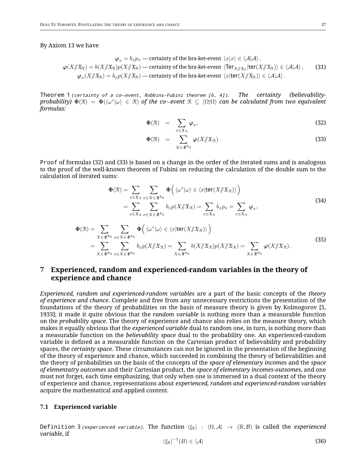#### By Axiom 13 we have

$$
\varphi_x = b_x p_x - \text{certainty of the bra-ket-event } \langle x | x \rangle \in \langle A | A \rangle, \n\varphi(X/\mathfrak{X}_\mathbb{R}) = b(X/\mathfrak{X}_\mathbb{R})p(X/\mathfrak{X}_\mathbb{R}) - \text{certainty of the bra-ket-event } \langle \text{Ter}_{X/\mathfrak{X}_\mathbb{R}}|\text{ter}(X/\mathfrak{X}_\mathbb{R})\rangle \in \langle A | A \rangle, \n\varphi_x(X/\mathfrak{X}_\mathbb{R}) = b_x p(X/\mathfrak{X}_\mathbb{R}) - \text{certainty of the bra-ket-event } \langle x | \text{ter}(X/\mathfrak{X}_\mathbb{R})\rangle \in \langle A | A \rangle.
$$
\n(31)

*Theorem 1 (certainty of <sup>a</sup> co*∼*event, Robbins-Fubini theorem [6, 4]). The certainty (believabilityprobability)* Φ(R) = Φ(⟨ω ∗ |ω⟩ ∈ R) *of the co*∼*event* R ⊆ ⟨Ω|Ω⟩ *can be calculated from two equivalent formulas:*

$$
\Phi(\mathfrak{R}) = \sum_{x \in \mathfrak{X}_{\mathfrak{R}}} \varphi_x,\tag{32}
$$

$$
\Phi(\mathfrak{R}) = \sum_{X \in \mathbf{2}^{\mathfrak{X}_{\mathfrak{R}}}} \varphi(X/\!\!/ \mathfrak{X}_{\mathfrak{R}}). \tag{33}
$$

*Proof* of formulas (32) and (33) is based on a change in the order of the iterated sums and is analogous to the proof of the well-known theorem of Fubini on reducing the calculation of the double sum to the calculation of iterated sums:

$$
\Phi(\mathcal{R}) = \sum_{x \in \mathfrak{X}_\mathcal{R}} \sum_{x \in X \in \mathbf{Z}^{\mathfrak{X}_\mathcal{R}}} \Phi\left(\langle \omega^* | \omega \rangle \in \langle x | \text{ter}(X / \mathfrak{X}_\mathcal{R}) \rangle\right)
$$
\n
$$
= \sum_{x \in \mathfrak{X}_\mathcal{R}} \sum_{x \in X \in \mathbf{Z}^{\mathfrak{X}_\mathcal{R}}} b_x p(X / \mathfrak{X}_\mathcal{R}) = \sum_{x \in \mathfrak{X}_\mathcal{R}} b_x p_x = \sum_{x \in \mathfrak{X}_\mathcal{R}} \varphi_x,
$$
\n
$$
\Phi(\mathcal{R}) = \sum_{X \in \mathbf{Z}^{\mathfrak{X}_\mathcal{R}}} \sum_{x \in X \in \mathbf{Z}^{\mathfrak{X}_\mathcal{R}}} \Phi\left(\langle \omega^* | \omega \rangle \in \langle x | \text{ter}(X / \mathfrak{X}_\mathcal{R}) \rangle\right)
$$
\n
$$
= \sum_{X \in \mathbf{Z}^{\mathfrak{X}_\mathcal{R}}} \sum_{x \in X \in \mathbf{Z}^{\mathfrak{X}_\mathcal{R}}} b_x p(X / \mathfrak{X}_\mathcal{R}) = \sum_{X \in \mathbf{Z}^{\mathfrak{X}_\mathcal{R}}} b(X / \mathfrak{X}_\mathcal{R}) p(X / \mathfrak{X}_\mathcal{R}) = \sum_{X \in \mathbf{Z}^{\mathfrak{X}_\mathcal{R}}} \varphi(X / \mathfrak{X}_\mathcal{R}).
$$
\n(35)

## **7 Experienced, random and experienced-random variables in the theory of experience and chance**

*Experienced, random and experienced-random variables* are a part of the basic concepts of the *theory of experience and chance*. Complete and free from any unnecessary restrictions the presentation of the foundations of the theory of probabilities on the basis of measure theory is given by Kolmogorov [5, 1933]; it made it quite obvious that the *random variable* is nothing more than a measurable function on the *probability space*. The theory of experience and chance also relies on the measure theory, which makes it equally obvious that the *experienced variable* dual to random one, in turn, is nothing more than a measurable function on the *believability space* dual to the probability one. An experienced-random variable is defined as a measurable function on the Cartesian product of believability and probability spaces, the *certainty space*. These circumstances can not be ignored in the presentation of the beginning of the theory of experience and chance, which succeeded in combining the theory of believabilities and the theory of probabilities on the basis of the concepts of the *space of elementary incomes* and the *space of elementatry outcomes* and their Cartesian product, the *space of elementary incomes-outsomes*, and one must not forget, each time emphasizing, that only when one is immersed in a dual context of the theory of experience and chance, representations about *experienced, random and experienced-random variables* acquire the mathematical and applied content.

#### **7.1 Experienced variable**

*Definition 3 (experienced variable).* The function  $\langle \xi_R | : \langle \Omega, A | \to (\mathbb{R}, \mathcal{B})$  is called the *experienced variable*, if

$$
\langle \xi_{\mathcal{R}} \vert^{-1}(B) \in \langle \mathcal{A} \vert \tag{36}
$$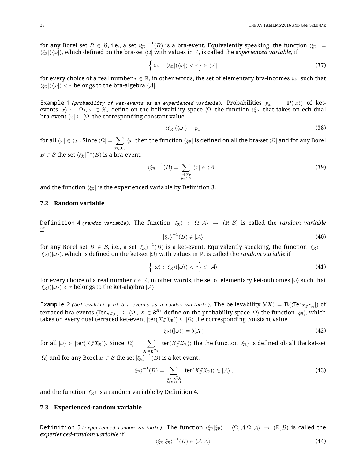for any Borel set  $B\in\mathcal{B}$ , i.e., a set  $\bra{\xi_\mathbb{R}}^{-1}(B)$  is a bra-event. Equivalently speaking, the function  $\bra{\xi_\mathbb{R}}=1$ ⟨ξR|(⟨ω|), which defined on the bra-set ⟨Ω| with values in R, is called the *experienced variable*, if

$$
\left\{ \langle \omega | : \langle \xi_{\mathbb{R}} | (\langle \omega |) < r \right\} \in \langle \mathcal{A} | \tag{37}
$$

for every choice of a real number  $r \in \mathbb{R}$ , in other words, the set of elementary bra-incomes  $\langle \omega |$  such that  $\langle \xi_{\mathbb{R}} | (\langle \omega | \rangle < r \text{ belongs to the bra-algebra } \langle \mathcal{A} |$ .

*Example 1 (probability of ket-events as an experienced variable). Probabilities*  $p_x = \mathbf{P}(|x\rangle)$  *of ket*events  $|x\rangle \subseteq \langle \Omega \rangle$ ,  $x \in \mathfrak{X}_R$  define on the believability space  $\langle \Omega \rangle$  the function  $\langle \xi_R \rangle$  that takes on ech dual bra-event  $\langle x | \subseteq \langle \Omega |$  the corresponding constant value

$$
\langle \xi_{\mathbb{R}} | (\langle \omega | ) = p_x \tag{38}
$$

for all  $\langle \omega | \in \langle x |$ . Since  $\langle \Omega | = \sum \rangle$  $x \in \mathfrak{X}_{\mathcal{R}}$  $\langle x|$  then the function  $\langle \xi_{\mathbb{R}}|$  is defined on all the bra-set  $\langle \Omega|$  and for any Borel  $B\in \mathcal{B}$  the set  $\bra{\xi_\mathcal{R}}^{-1}(B)$  is a bra-event:

$$
\langle \xi_{\mathbb{R}}|^{-1}(B) = \sum_{\substack{x \in \mathfrak{X}_{\mathbb{R}} \\ p_x \in B}} \langle x | \in \langle \mathcal{A} |,
$$
 (39)

and the function  $\langle \xi_R |$  is the experienced variable by Definition 3.

#### **7.2 Random variable**

*Definition 4 (random variable).* The function  $|\xi_R\rangle$  :  $|\Omega, A\rangle \to (\mathbb{R}, \mathcal{B})$  is called the *random variable* if

$$
|\xi_{\mathbb{R}}\rangle^{-1}(B) \in |\mathcal{A}\rangle \tag{40}
$$

for any Borel set  $B\,\in\,\mathcal{B}$ , i.e., a set  $\ket{\xi_\mathbb{R}}^{-1}(B)$  is a ket-event. Equivalently speaking, the function  $\ket{\xi_\mathbb{R}}=0$  $|\xi_R\rangle(|\omega\rangle)$ , which is defined on the ket-set  $|\Omega\rangle$  with values in  $\mathbb R$ , is called the *random variable* if

$$
\left\{ |\omega\rangle : |\xi_{\mathbb{R}}\rangle (|\omega\rangle) < r \right\} \in |\mathcal{A}\rangle \tag{41}
$$

for every choice of a real number  $r \in \mathbb{R}$ , in other words, the set of elementary ket-outcomes  $|\omega\rangle$  such that  $|\xi_{\rm R}\rangle(|\omega\rangle) < r$  belongs to the ket-algebra  $|\mathcal{A}\rangle$ .

 $\epsilon$  *E*xample 2 *(believability of bra-events as a random variable).* The believability  $b(X) = \mathbf{B}(\langle \text{Ter}_{X/\!\!/ \mathfrak{X}_\mathfrak{X}}|)$  of terraced bra-events  $\langle$ Ter $_{X/\!\!/ \frak X_R}|\subseteq\langle\Omega|,$   $X\in$   ${\bf 8}^{\frak X_R}$  define on the probability space  $|\Omega\rangle$  the function  $|\xi_\mathfrak{R}\rangle$ , which takes on every dual terraced ket-event  $|ter(X/\mathcal{X}_R)\rangle \subseteq |\Omega\rangle$  the corresponding constant value

$$
|\xi_{\mathcal{R}}\rangle(|\omega\rangle) = b(X) \tag{42}
$$

for all  $|\omega\rangle\in|{\sf ter}(X/\!\!/ \mathfrak{X}_\mathfrak{R})\rangle.$  Since  $|\Omega\rangle=\sum_{\alpha}$  $X\in\mathbf{2}^{\mathfrak{X}_{\mathcal{R}}}$  $|ter(X/\mathfrak{X}_\mathbb{R})\rangle$  the the function  $|\xi_\mathbb{R}\rangle$  is defined ob all the ket-set  $|\Omega\rangle$  and for any Borel  $B\in\mathcal{B}$  the set  $|\xi_\text{R}\rangle^{-1}(B)$  is a ket-event:

$$
|\xi_{\mathbb{R}}\rangle^{-1}(B) = \sum_{\substack{X \in \mathbf{S}^{\mathfrak{X}_{\mathbb{R}}} \\ b(X) \in B}} |\text{ter}(X/\!\!/ \mathfrak{X}_{\mathbb{R}})\rangle \in |\mathcal{A}\rangle ,
$$
 (43)

and the function  $|\xi_{\rm R}\rangle$  is a random variable by Definition 4.

#### **7.3 Experienced-random variable**

*Definition 5 <i>(experienced-random variable)*. The function  $\langle \xi_R | \xi_R \rangle : \langle \Omega, A | \Omega, A \rangle \to (\mathbb{R}, \mathcal{B})$  is called the *experienced-random variable* if

$$
\langle \xi_{\mathbb{R}} | \xi_{\mathbb{R}} \rangle^{-1}(B) \in \langle A | A \rangle \tag{44}
$$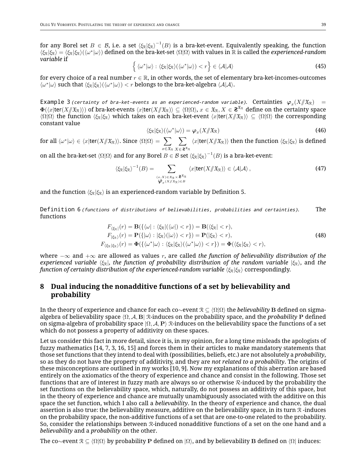for any Borel set  $B\,\in\,\mathcal{B}$ , i.e. a set  $\langle \xi_\mathbb{R}|\xi_\mathbb{R}\rangle^{-1}(B)$  is a bra-ket-event. Equivalently speaking, the function  $\langle \xi_R | \xi_R \rangle = \langle \xi_R | \xi_R \rangle (\langle \omega^* | \omega \rangle)$  defined on the bra-ket-set  $\langle \Omega | \Omega \rangle$  with values in  $\mathbb R$  is called the *experienced-random variable* if

$$
\left\{ \langle \omega^* | \omega \rangle : \langle \xi_R | \xi_R \rangle (\langle \omega^* | \omega \rangle) < r \right\} \in \langle A | A \rangle \tag{45}
$$

for every choice of a real number  $r \in \mathbb{R}$ , in other words, the set of elementary bra-ket-incomes-outcomes  $\langle \omega^* | \omega \rangle$  such that  $\langle \xi_R | \xi_R \rangle (\langle \omega^* | \omega \rangle) < r$  belongs to the bra-ket-algebra  $\langle A | A \rangle$ .

 $\epsilon$  **Example 3** (certainty of bra-ket-events as an experienced-random variable). Certainties  $\varphi_x(X/\!\!/ \mathfrak{X}_\mathcal{R})=0$  $\Phi(\langle x| \textsf{ter}(X \mathcal{J} \mathfrak{X}_\mathcal{R}) \rangle)$  of bra-ket-events  $\langle x| \textsf{ter}(X \mathcal{J} \mathfrak{X}_\mathcal{R}) \rangle \subseteq \langle \Omega | \Omega \rangle$ ,  $x \in \mathfrak{X}_\mathcal{R}, X \in \mathbf{Z}^{\mathfrak{X}_\mathcal{R}}$  define on the certainty space  $\langle \Omega | \Omega \rangle$  the function  $\langle \xi_R | \xi_R \rangle$  which takes on each bra-ket-event  $\langle x |$ ter( $X / \mathcal{X}_R$ )) ⊆  $\langle \Omega | \Omega \rangle$  the corresponding constant value

$$
\langle \xi_{\mathbb{R}} | \xi_{\mathbb{R}} \rangle (\langle \omega^* | \omega \rangle) = \varphi_x(X / \mathfrak{X}_{\mathbb{R}})
$$
\n(46)

for all  $\langle \omega^* | \omega \rangle \in \langle x | \mathsf{ter}(X \mathord{/\!\!/} \mathfrak{X}_\mathcal{R}) \rangle.$  Since  $\langle \Omega | \Omega \rangle = \sum \langle \Omega | \Omega \rangle$  $x \in \mathfrak{X}_{\mathcal{R}}$ ∑  $X\in\mathbf{2}^{\mathfrak{X}_{\mathcal{R}}}$  $\langle x|$ ter( $X/\langle x \rangle$ ) then the function  $\langle \xi_R | \xi_R \rangle$  is defined

on all the bra-ket-set  $\langle \Omega | \Omega \rangle$  and for any Borel  $B \in \mathcal{B}$  set  $\langle \xi_{\mathbb{R}} | \xi_{\mathbb{R}} \rangle^{-1}(B)$  is a bra-ket-event:

$$
\langle \xi_{\mathcal{R}} | \xi_{\mathcal{R}} \rangle^{-1}(B) = \sum_{\substack{(x,X) \in \mathfrak{X}_{\mathcal{R}} \times \mathbf{S}^{\mathfrak{X}_{\mathcal{R}}} \\ \boldsymbol{\varphi}_x(X \mid \mathfrak{X}_{\mathcal{R}}) \in B}} \langle x | \mathbf{ter}(X / \mathfrak{X}_{\mathcal{R}}) \rangle \in \langle A | A \rangle ,
$$
 (47)

and the function  $\langle \xi_R | \xi_R \rangle$  is an experienced-random variable by Definition 5.

*Definition 6 (functions of distributions of believabilities, probabilities and certainties).* The functions

$$
F_{\langle \xi_{\mathbb{R}}|}(r) = \mathbf{B}(\{\langle \omega | : \langle \xi_{\mathbb{R}}|(\langle \omega |) < r \rangle\}) = \mathbf{B}(\langle \xi_{\mathbb{R}}| < r),
$$
\n
$$
F_{|\xi_{\mathbb{R}}\rangle}(r) = \mathbf{P}(\{\omega | : |\xi_{\mathbb{R}}\rangle(\omega) < r\}) = \mathbf{P}(|\xi_{\mathbb{R}}\rangle < r),
$$
\n
$$
F_{\langle \xi_{\mathbb{R}}| \xi_{\mathbb{R}}\rangle}(r) = \Phi(\{\langle \omega^* | \omega \rangle : \langle \xi_{\mathbb{R}}| \xi_{\mathbb{R}}\rangle(\langle \omega^* | \omega \rangle) < r\}) = \Phi(\langle \xi_{\mathbb{R}}| \xi_{\mathbb{R}}\rangle < r),
$$
\n(48)

where −∞ and +∞ are allowed as values r, are called *the function of believability distribution of the experienced variable*  $\langle \xi_R|$ , *the function of probability distribution of the random variable*  $|\xi_R\rangle$ , and *the function of certainty distribution of the experienced-random variable*  $\langle \xi_R | \xi_R \rangle$  correspondingly.

## **8 Dual inducing the nonadditive functions of a set by believability and probability**

In the theory of experience and chance for each co∼event R ⊆ ⟨Ω|Ω⟩ the *believability* B defined on sigmaalgebra of believability space ⟨Ω, A, B| R-induces on the probability space, and the *probability* P defined on sigma-algebra of probability space  $\Omega$ ,  $\mathcal{A}$ , P $\chi$ -induces on the believability space the functions of a set which do not possess a property of additivity on these spaces.

Let us consider this fact in more detail, since it is, in my opinion, for a long time misleads the apologists of fuzzy mathematics [14, 7, 3, 16, 15] and forces them in their articles to make mandatory statements that those set functions that they intend to deal with (possibilities, beliefs, etc.) are not absolutely a *probability*, so as they do not have the property of additivity, and they are *not related to a probability*. The origins of these misconceptions are outlined in my works [10, 9]. Now my explanations of this aberration are based entirely on the axiomatics of the theory of experience and chance and consist in the following. Those set functions that are of interest in fuzzy math are always so or otherwise R-induced by the probability the set functions on the believability space, which, naturally, do not possess an additivity of this space, but in the theory of experience and chance are mutually unambiguously associated with the additive on this space the set function, which I also call a *believability*. In the theory of experience and chance, the dual assertion is also true: the believability measure, additive on the believability space, in its turn  $\mathcal R$  -induces on the probability space, the non-additive functions of a set that are one-to-one related to the probability. So, consider the relationships between R-induced nonadditive functions of a set on the one hand and a *believability* and a *probability* on the other.

The co∼event  $\mathcal{R} \subseteq \langle \Omega | \Omega \rangle$  by probability P defined on  $| \Omega \rangle$ , and by believability B defined on  $\langle \Omega |$  induces: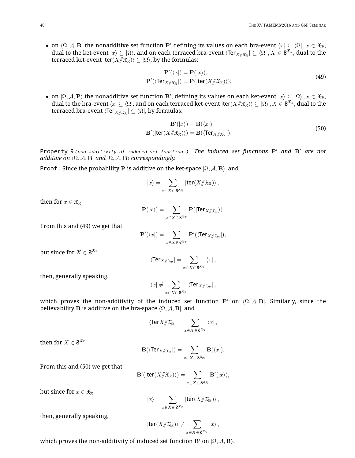• on  $\langle \Omega, \mathcal{A}, \mathbf{B} |$  the nonadditive set function P' defining its values on each bra-event  $\langle x | \subseteq \langle \Omega |, x \in \mathfrak{X}_R$ , dual to the ket-event  $|x\rangle\subseteq|\Omega\rangle$ , and on each terraced bra-event  $\langle$ Ter $_{X/\!\!/ \mathfrak{X}_\mathfrak{X}}|\subseteq\langle\Omega|$  ,  $X\in{\bf Z}^{\widehat{\mathfrak{X}}_\mathfrak{X}}$  , dual to the terraced ket-event  $|ter(X/\mathfrak{X}_R)\rangle \subseteq |\Omega\rangle$ , by the formulas:

$$
\mathbf{P}'(\langle x|) = \mathbf{P}(|x\rangle),
$$
  
\n
$$
\mathbf{P}'(\langle \text{Ter}_{X/\!\!/ \mathfrak{X}_R}|) = \mathbf{P}(|\text{ter}(X/\!\!/ \mathfrak{X}_R)\rangle);
$$
\n(49)

• on  $(\Omega, \mathcal{A}, P)$  the nonadditive set function B', defining its values on each ket-event  $|x\rangle \subseteq |\Omega\rangle$  ,  $x \in \mathfrak{X}_R$ , dual to the bra-event  $\langle x|\subseteq\langle\Omega|$ , and on each terraced ket-event  $|$ ter $(X/\!\!/\mathfrak{X}_\mathfrak{R})\rangle\subseteq|\Omega\rangle$  ,  $X\in{\bf Z}^{\overline{\mathfrak{X}}_\mathfrak{R}}$  , dual to the terraced bra-event  $\langle$ Ter $_{X/\!\!/ \mathfrak{X}_{\mathcal{R}}}\vert\subseteq\langle\Omega\vert$ , by formulas:

$$
\mathbf{B}'(|x\rangle) = \mathbf{B}(\langle x|),
$$
  
\n
$$
\mathbf{B}'(|\text{ter}(X/\mathcal{X}_\mathcal{R})) = \mathbf{B}(\langle \text{Ter}_{X/\mathcal{X}_\mathcal{R}}|).
$$
\n(50)

*Property 9 (non-additivity of induced set functions). The induced set functions* P′ *and* B′ *are not additive on*  $\langle \Omega, \mathcal{A}, \mathbf{B} |$  *and*  $|\Omega, \mathcal{A}, \mathbf{B}\rangle$  *correspondingly.* 

*Proof.* Since the probability P is additive on the ket-space |Ω, A, B⟩, and

$$
|x\rangle = \sum_{x\in X\in \mathbf{2}^{\mathfrak{X}_{\mathcal{R}}}} |\text{ter}(X/\!\!/\mathfrak{X}_{\mathcal{R}})\rangle,
$$

then for  $x \in \mathfrak{X}_R$ 

$$
\mathbf{P}(|x\rangle) = \sum_{x \in X \in \mathbf{2}^{x_{\mathcal{R}}}} \mathbf{P}(|\text{Ter}_{X/\!\!/ \mathfrak{X}_{\mathcal{R}}}\rangle).
$$

From this and (49) we get that

$$
\mathbf{P}'(\langle x|)=\sum_{x\in X\in\mathbf{2}^{\mathfrak{X}_{\mathcal{R}}}}\mathbf{P}'(\langle \text{Ter}_{X/\!\!/ \mathfrak{X}_{\mathcal{R}}} |),
$$

but since for  $X \in \mathbf{2}^{\mathfrak{X}_{\mathcal{R}}}$ 

$$
\langle \text{Ter}_{X/\!\!/ \mathfrak{X}_{\mathcal{R}}}\,| = \sum_{x\in X\in\mathbf{2}^{\mathfrak{X}_{\mathcal{R}}}}\langle x|,
$$

then, generally speaking,

$$
\langle x|\neq \sum_{x\in X\in \mathbf{2}^{x_{\mathcal{R}}}} \langle \text{Ter}_{X/\!\!/ \mathfrak{X}_{\mathcal{R}}} |,
$$

which proves the non-additivity of the induced set function P' on  $(Ω, A, B|)$ . Similarly, since the believability **B** is additive on the bra-space  $\langle \Omega, \mathcal{A}, \mathbf{B} |$ , and

$$
\langle \text{Ter} X/\!\!/ \mathfrak{X}_\mathfrak{R}\!\! \mid = \sum_{x\in X\in \mathbf{2}^\mathfrak{X}_\mathfrak{R}} \langle x\!\! \mid,
$$

then for  $X \in \mathbf{2}^{\mathfrak{X}_{\mathcal{R}}}$ 

$$
\mathbf{B}(\langle \text{Ter}_{X/\!\!/ \mathfrak{X}_{\mathcal{R}}}|) = \sum_{x \in X \in \mathbf{Z}^{\mathfrak{X}_{\mathcal{R}}}} \mathbf{B}(\langle x |).
$$

From this and (50) we get that

$$
\mathbf{B}'(|\mathsf{ter}(X/\!\!/\mathfrak{X}_\mathfrak{R})\rangle)=\sum_{x\in X\in\mathbf{S}^{\mathfrak{X}_\mathfrak{R}}}\mathbf{B}'(|x\rangle),
$$

but since for  $x \in \mathfrak{X}_R$ 

$$
|x\rangle = \sum_{x\in X\in\mathbf{Z}^{\mathfrak{X}_{\mathcal{R}}}} |\text{ter}(X/\!\!/\mathfrak{X}_{\mathcal{R}})\rangle\,,
$$

then, generally speaking,

$$
\left\vert \mathsf{ter}(X /\!\!/ \mathfrak{X}_\mathbb{R}) \right\rangle \neq \sum_{x \in X \in \mathbf{2}^{\mathfrak{X}_\mathbb{R}}} \left\vert x \right\rangle,
$$

which proves the non-additivity of induced set function B' on  $(\Omega, \mathcal{A}, \mathbf{B})$ .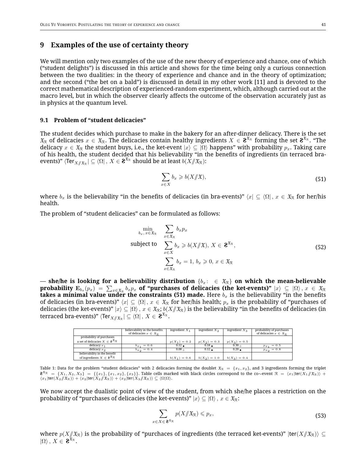## **9 Examples of the use of certainty theory**

We will mention only two examples of the use of the new theory of experience and chance, one of which ("student delights") is discussed in this article and shows for the time being only a curious connection between the two dualities: in the theory of experience and chance and in the theory of optimization; and the second ("the bet on a bald") is discussed in detail in my other work [11] and is devoted to the correct mathematical description of experienced-random experiment, which, although carried out at the macro level, but in which the observer clearly affects the outcome of the observation accurately just as in physics at the quantum level.

#### **9.1 Problem of "student delicacies"**

The student decides which purchase to make in the bakery for an after-dinner delicacy. There is the set  $\mathfrak{X}_\mathcal{R}$  of delicacies  $x\in\mathfrak{X}_\mathcal{R}$ . The delicacies contain healthy ingredients  $X\in\mathbf{2}^{\mathfrak{X}_\mathcal{R}}$  forming the set  $\mathbf{2}^{\mathfrak{X}_\mathcal{R}}$ . "The delicacy  $x \in \mathfrak{X}_R$  the student buys, i.e., the ket-event  $|x\rangle \subseteq |0\rangle$  happens" with probability  $p_x$ . Taking care of his health, the student decided that his believability "in the benefits of ingredients (in terraced bra-events)"  $\langle$ Ter $_{X/\!\!/ \mathfrak{X}_\mathcal{R}}^{}\rvert\subseteq\langle\Omega\vert$  ,  $X\in$  **2** $^{\mathfrak{X}_\mathcal{R}}$  should be at least  $b(X/\!\!/ \mathfrak{X}_\mathcal{R})$ :

$$
\sum_{x \in X} b_x \geqslant b(X/\!\!/\mathfrak{X}),\tag{51}
$$

where  $b_x$  is the believability "in the benefits of delicacies (in bra-events)"  $\langle x | \subseteq \langle \Omega |, x \in \mathfrak{X}_\mathbb{R}$  for her/his health.

The problem of "student delicacies" can be formulated as follows:

$$
\min_{b_x, x \in \mathfrak{X}_{\mathcal{R}}} \quad \sum_{x \in \mathfrak{X}_{\mathcal{R}}} b_x p_x
$$
\n
$$
\text{subject to} \quad \sum_{x \in X} b_x \geq b(X/\mathfrak{X}), \ X \in \mathbf{Z}^{\mathfrak{X}_{\mathcal{R}}},
$$
\n
$$
\sum_{x \in \mathfrak{X}_{\mathcal{R}}} b_x = 1, \ b_x \geq 0, \ x \in \mathfrak{X}_{\mathcal{R}}
$$
\n
$$
(52)
$$

— she/he is looking for a believability distribution  $\{b_x: \in \mathfrak{X}_R\}$  on which the mean-believable  ${\bf probability}\,\, {\bf E}_{b_x}(p_x) \,\, = \,\, \sum_{x\in \mathfrak{X}_\mathcal{R}}\,b_x p_x\,\,$  of "purchases of delicacies (the ket-events)"  $|x\rangle \,\, \subseteq \,\, |\Omega\rangle\,,\, x \,\, \in \,\, \mathfrak{X}_\mathcal{R}$ **takes a minimal value under the constraints (51) made.** Here  $b_x$  is the believability "in the benefits of delicacies (in bra-events)"  $\langle x | \subseteq \langle \Omega |, x \in \mathfrak{X}_R$  for her/his health;  $p_x$  is the probability of "purchases of delicacies (the ket-events)"  $|x\rangle \subseteq |\Omega\rangle$ ,  $x \in \mathfrak{X}_R$ ;  $b(X/\!\!/ \mathfrak{X}_R)$  is the believability "in the benefits of delicacies (in terraced bra-events)"  $\langle \text{Ter}_{X/\!\!/ \mathfrak{X}_\mathfrak{X}} \vert \subseteq \langle \Omega \vert \,,\, X \in \mathbf{Z}^{\mathfrak{X}_{\mathfrak{X}}}.$ 

|                                                                   | believability in the benefits<br>of delicacies $x \in \mathfrak{X}_{\mathcal{D}}$ | ingredient $X_1$  | ingredient $X_2$ | ingredient $X_2$  | probability of purchases<br>of delicacies $x \in \mathfrak{X}_{\Phi}$ |
|-------------------------------------------------------------------|-----------------------------------------------------------------------------------|-------------------|------------------|-------------------|-----------------------------------------------------------------------|
| probability of purchases                                          |                                                                                   |                   |                  |                   |                                                                       |
| a set of delicacies $X \in \mathbf{2}^{\mathfrak{X}} \mathcal{R}$ |                                                                                   | $p(X_1) = 0.2$    | $p(X_2) = 0.3$   | $p(X_3) = 0.5$    |                                                                       |
| delicacy $x_1$                                                    | $b_{x_1} = 0.6$                                                                   | $0.12 \bullet$    | $0.18$ $\bullet$ | 0.30 <sub>0</sub> | $p_{x_1} = 0.5$                                                       |
| delicacy $x_2$                                                    | $b_{x_2} = 0.4$                                                                   | 0.08 <sub>0</sub> | $0.12$ $\bullet$ | $0.20 \bullet$    | $p_{x_2} = 0.8$                                                       |
| believability in the benefit                                      |                                                                                   |                   |                  |                   |                                                                       |
| of ingredients $X \in \mathbf{2}^{\mathfrak{X}} \mathcal{R}$      |                                                                                   | $b(X_1) = 0.6$    | $b(X_2) = 1.0$   | $b(X_3) = 0.4$    |                                                                       |

Table 1: Data for the problem "student delicacies" with 2 delicacies forming the doublet  $\mathfrak{X}_R = \{x_1, x_2\}$ , and 3 ingredients forming the triplet  $\mathbf{R}^{x_{\mathcal{R}}} = \{X_1, X_2, X_3\} = \{\{x_1\}, \{x_1, x_2\}, \{x_3\}\}\$ . Table cells marked with black circles correspond to the co∼event  $\mathcal{R} = \langle x_1 | \text{ter}(X_1/\mathcal{X}_\mathcal{R}) \rangle + \langle x_2 | \text{ter}(X_2/\mathcal{X}_\mathcal{R}) \rangle + \langle x_2 | \text{ter}(X_3/\mathcal{X}_\mathcal{R$ 

We now accept the dualistic point of view of the student, from which she/he places a restriction on the probability of "purchases of delicacies (the ket-events)"  $|x\rangle \subset |\Omega\rangle$ ,  $x \in \mathfrak{X}_R$ :

$$
\sum_{x \in X \in \mathbf{2}^{\mathfrak{X}_{\mathcal{R}}} } p(X / \mathfrak{X}_{\mathcal{R}}) \leqslant p_x,
$$
\n
$$
(53)
$$

where  $p(X/\mid X_\mathcal{R})$  is the probability of "purchaces of ingredients (the terraced ket-events)"  $|\textsf{ter}(X/\mid X_\mathcal{R})\rangle \subseteq$  $|\Omega\rangle$ ,  $X \in \mathbf{S}^{\mathfrak{X}_{\mathcal{R}}}$ .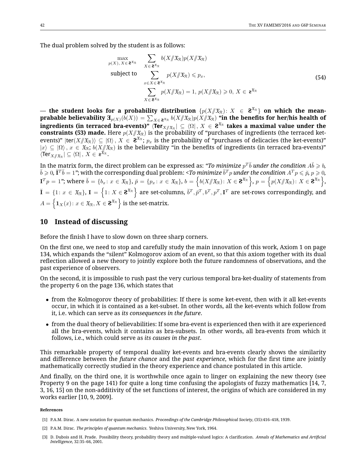The dual problem solved by the student is as follows:

$$
\begin{array}{ll}\n\max_{p(X), X \in \mathbf{2}^{x_{\mathcal{R}}}} & \sum_{X \in \mathbf{2}^{x_{\mathcal{R}}}} b(X/\mathfrak{X}_{\mathcal{R}}) p(X/\mathfrak{X}_{\mathcal{R}}) \\
\text{subject to} & \sum_{x \in X \in \mathbf{2}^{x_{\mathcal{R}}}} p(X/\mathfrak{X}_{\mathcal{R}}) \leq p_x, \\
& \sum_{X \in \mathbf{2}^{x_{\mathcal{R}}}} p(X/\mathfrak{X}_{\mathcal{R}}) = 1, \ p(X/\mathfrak{X}_{\mathcal{R}}) \geq 0, \ X \in \mathbf{z}^{x_{\mathcal{R}}}\n\end{array} \tag{54}
$$

— the student looks for a probability distribution  $\{p(X|\mathcal{X}_\mathcal{R})\colon X~\in~\mathbf{2}^{\mathfrak{X}_\mathcal{R}}\}$  on which the mean- ${\bf p}$ rabable believability  ${\bf \Xi}_{p(X)}(\bar{b}(X)) = \sum_{X\in{\bf 2}^{\mathfrak{X}_{\mathcal{R}}}}b(X\# \mathfrak{X}_{\mathcal{R}}) p(X\# \mathfrak{X}_{\mathcal{R}})$  "in the benefits for her/his health of  $\textbf{1}$  ingredients (in terraced bra-events)"  $\bra{\textbf{Ter}_{X/\!\!/ \mathfrak{X}_{\mathfrak{R}}}} \subseteq \bra{\Omega}, X \in \mathbf{2}^{\mathfrak{X}_{\mathfrak{R}}}$  takes a maximal value under the **constraints (53) made.** Here  $p(X|\mathcal{X}_\mathcal{R})$  is the probability of "purchases of ingredients (the terraced ketevents)"  $|{\sf ter}(X/\!\!/ \mathfrak{X}_\mathfrak{R})\rangle\subseteq | \Omega\rangle$  ,  $X\in \mathfrak{F}^{\mathfrak{X}_\mathfrak{R}};$  px is the probability of "purchases of delicacies (the ket-events)"  $|x\rangle \subseteq |\Omega\rangle$ ,  $x \in \mathfrak{X}_{\mathbb{R}}$ ;  $b(X/\mathfrak{X}_{\mathbb{R}})$  is the believability "in the benefits of ingredients (in terraced bra-events)"  $\langle \mathsf{Ter}_{X/\!\!/ \mathfrak{X}_{\mathcal{R}}} \vert \subseteq \langle \Omega \vert \, , \, X \in \mathsf{a}^{\mathfrak{X}_{\mathcal{R}}} .$ 

In the matrix form, the direct problem can be expressed as: "*To minimize*  $p^T\breve{b}$  *under the condition A* $\breve{b} \geqslant b$ *,*  $\breve{b}\geqslant 0$ ,  $\breve{\bf I}^T\breve{b}=1$  "; with the corresponding dual problem: <*To minimize*  $\breve{b}^Tp$  *under the condition*  $A^Tp\leqslant \breve{p},\,p\geqslant 0,$  $\mathbf{I}^T p \,=\, 1$ "; where  $\breve{b} \,=\, \{b_x \colon x \,\in\, \mathfrak{X}_{\mathbb{R}}\}, \, \breve{p} \,=\, \{p_x \colon x \,\in\, \mathfrak{X}_{\mathbb{R}}\}, \, b \,=\, \left\{b(X/\!\!/\, \mathfrak{X}_{\mathbb{R}}) \colon X \in \mathbf{2}^{\mathfrak{X}_{\mathbb{R}}}\right\}, \, p \,=\, \left\{p(X/\!\!/ \, \mathfrak{X}_{\mathbb{R}}) \colon X \in \mathbf{2}^{\mathfrak{X}_{\mathbb{R}}$  $\breve{\bf I}=\{1\colon x\in \mathcal{X}_\mathcal{R}\},\,{\bf I}=\left\{1\colon X\in \mathbf{2}^{\mathfrak{X}_\mathcal{R}}\right\}$  are set-columns,  $\breve{b}^T,\breve{p}^T,b^T,p^T,{\bf I}^T$  are set-rows correspondingly, and  $A = \left\{ \mathbf{1}_X(x) \colon x \in \mathfrak{X}_{\mathcal{R}}, X \in \mathbf{2}^{\mathfrak{X}_{\mathcal{R}}} \right\}$  is the set-matrix.

## **10 Instead of discussing**

Before the finish I have to slow down on three sharp corners.

On the first one, we need to stop and carefully study the main innovation of this work, Axiom 1 on page 134, which expands the "silent" Kolmogorov axiom of an event, so that this axiom together with its dual reflection allowed a new theory to jointly explore both the future randomness of observations, and the past experience of observers.

On the second, it is impossible to rush past the very curious temporal bra-ket-duality of statements from the property 6 on the page 136, which states that

- from the Kolmogorov theory of probabilities: If there is some ket-event, then with it all ket-events occur, in which it is contained as a ket-subset. In other words, all the ket-events which follow from it, i.e. which can serve as *its consequences in the future*.
- from the dual theory of believabilities: If some bra-event is experienced then with it are experienced all the bra-events, which it contains as bra-subsets. In other words, all bra-events from which it follows, i.e., which could serve as *its causes in the past*.

This remarkable property of temporal duality ket-events and bra-events clearly shows the similarity and difference between the *future chance* and the *past experience*, which for the first time are jointly mathematically correctly studied in the theory experience and chance postulated in this article.

And finally, on the third one, it is worthwhile once again to linger on explaining the new theory (see Property 9 on the page 141) for quite a long time confusing the apologists of fuzzy mathematics [14, 7, 3, 16, 15] on the non-additivity of the set functions of interest, the origins of which are considered in my works earlier [10, 9, 2009].

#### **References**

- [1] P.A.M. Dirac. A new notation for quantum mechanics. *Proceedings of the Cambridge Philosophical Society*, (35):416–418, 1939.
- [2] P.A.M. Dirac. *The principles of quantum mechanics*. Yeshiva University, New York, 1964.

<sup>[3]</sup> D. Dubois and H. Prade. Possibility theory, probability theory and multiple-valued logics: A clarification. *Annals of Mathematics and Artificial Intelligence*, 32:35–66, 2001.